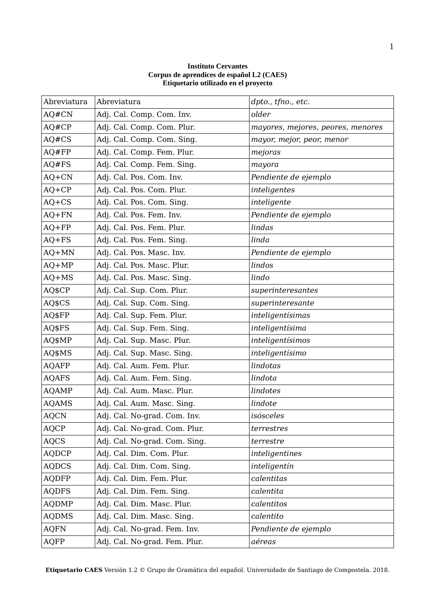| Abreviatura  | Abreviatura                   | dpto., tfno., etc.                |
|--------------|-------------------------------|-----------------------------------|
| AQ#CN        | Adj. Cal. Comp. Com. Inv.     | older                             |
| AQ#CP        | Adj. Cal. Comp. Com. Plur.    | mayores, mejores, peores, menores |
| AQ#CS        | Adj. Cal. Comp. Com. Sing.    | mayor, mejor, peor, menor         |
| AQ#FP        | Adj. Cal. Comp. Fem. Plur.    | mejoras                           |
| AQ#FS        | Adj. Cal. Comp. Fem. Sing.    | mayora                            |
| $AO+CN$      | Adj. Cal. Pos. Com. Inv.      | Pendiente de ejemplo              |
| $AQ+CP$      | Adj. Cal. Pos. Com. Plur.     | inteligentes                      |
| $AQ+CS$      | Adj. Cal. Pos. Com. Sing.     | inteligente                       |
| $AQ + FN$    | Adj. Cal. Pos. Fem. Inv.      | Pendiente de ejemplo              |
| $AQ + FP$    | Adj. Cal. Pos. Fem. Plur.     | lindas                            |
| $AQ + FS$    | Adj. Cal. Pos. Fem. Sing.     | linda                             |
| $AO+MN$      | Adj. Cal. Pos. Masc. Inv.     | Pendiente de ejemplo              |
| $AQ+MP$      | Adj. Cal. Pos. Masc. Plur.    | lindos                            |
| $AQ+MS$      | Adj. Cal. Pos. Masc. Sing.    | lindo                             |
| AQ\$CP       | Adj. Cal. Sup. Com. Plur.     | superinteresantes                 |
| AQ\$CS       | Adj. Cal. Sup. Com. Sing.     | superinteresante                  |
| AQ\$FP       | Adj. Cal. Sup. Fem. Plur.     | inteligentísimas                  |
| AQ\$FS       | Adj. Cal. Sup. Fem. Sing.     | inteligentísima                   |
| AQ\$MP       | Adj. Cal. Sup. Masc. Plur.    | inteligentísimos                  |
| AQ\$MS       | Adj. Cal. Sup. Masc. Sing.    | inteligentísimo                   |
| <b>AQAFP</b> | Adj. Cal. Aum. Fem. Plur.     | lindotas                          |
| <b>AQAFS</b> | Adj. Cal. Aum. Fem. Sing.     | lindota                           |
| <b>AQAMP</b> | Adj. Cal. Aum. Masc. Plur.    | lindotes                          |
| <b>AQAMS</b> | Adj. Cal. Aum. Masc. Sing.    | lindote                           |
| <b>AQCN</b>  | Adj. Cal. No-grad. Com. Inv.  | isósceles                         |
| <b>AQCP</b>  | Adj. Cal. No-grad. Com. Plur. | terrestres                        |
| <b>AQCS</b>  | Adj. Cal. No-grad. Com. Sing. | terrestre                         |
| <b>AQDCP</b> | Adj. Cal. Dim. Com. Plur.     | inteligentines                    |
| <b>AQDCS</b> | Adj. Cal. Dim. Com. Sing.     | inteligentín                      |
| <b>AQDFP</b> | Adj. Cal. Dim. Fem. Plur.     | calentitas                        |
| <b>AQDFS</b> | Adj. Cal. Dim. Fem. Sing.     | calentita                         |
| <b>AQDMP</b> | Adj. Cal. Dim. Masc. Plur.    | calentitos                        |
| <b>AQDMS</b> | Adj. Cal. Dim. Masc. Sing.    | calentito                         |
| <b>AQFN</b>  | Adj. Cal. No-grad. Fem. Inv.  | Pendiente de ejemplo              |
| <b>AQFP</b>  | Adj. Cal. No-grad. Fem. Plur. | aéreas                            |

## **Instituto Cervantes Corpus de aprendices de español L2 (CAES) Etiquetario utilizado en el proyecto**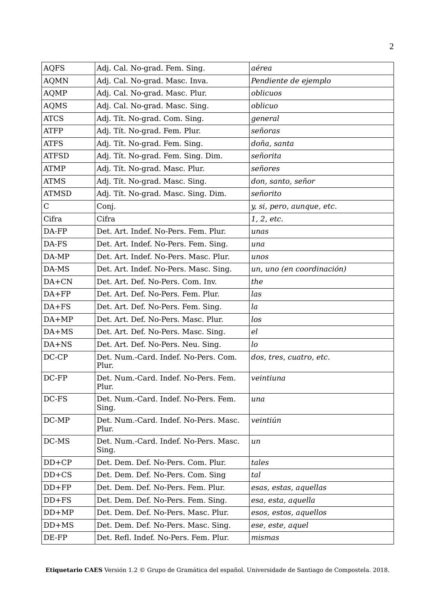| <b>AQFS</b>  | Adj. Cal. No-grad. Fem. Sing.                  | aérea                     |
|--------------|------------------------------------------------|---------------------------|
| <b>AQMN</b>  | Adj. Cal. No-grad. Masc. Inva.                 | Pendiente de ejemplo      |
| AQMP         | Adj. Cal. No-grad. Masc. Plur.                 | oblicuos                  |
| <b>AQMS</b>  | Adj. Cal. No-grad. Masc. Sing.                 | oblicuo                   |
| <b>ATCS</b>  | Adj. Tít. No-grad. Com. Sing.                  | general                   |
| <b>ATFP</b>  | Adj. Tít. No-grad. Fem. Plur.                  | señoras                   |
| <b>ATFS</b>  | Adj. Tít. No-grad. Fem. Sing.                  | doña, santa               |
| <b>ATFSD</b> | Adj. Tít. No-grad. Fem. Sing. Dim.             | señorita                  |
| <b>ATMP</b>  | Adj. Tít. No-grad. Masc. Plur.                 | señores                   |
| <b>ATMS</b>  | Adj. Tít. No-grad. Masc. Sing.                 | don, santo, señor         |
| <b>ATMSD</b> | Adj. Tít. No-grad. Masc. Sing. Dim.            | señorito                  |
| C            | Conj.                                          | y, si, pero, aunque, etc. |
| Cifra        | Cifra                                          | 1, 2, etc.                |
| DA-FP        | Det. Art. Indef. No-Pers. Fem. Plur.           | unas                      |
| DA-FS        | Det. Art. Indef. No-Pers. Fem. Sing.           | una                       |
| DA-MP        | Det. Art. Indef. No-Pers. Masc. Plur.          | unos                      |
| DA-MS        | Det. Art. Indef. No-Pers. Masc. Sing.          | un, uno (en coordinación) |
| DA+CN        | Det. Art. Def. No-Pers. Com. Inv.              | the                       |
| $DA+FP$      | Det. Art. Def. No-Pers. Fem. Plur.             | las                       |
| $DA + FS$    | Det. Art. Def. No-Pers. Fem. Sing.             | la                        |
| $DA+MP$      | Det. Art. Def. No-Pers. Masc. Plur.            | los                       |
| DA+MS        | Det. Art. Def. No-Pers. Masc. Sing.            | el                        |
| DA+NS        | Det. Art. Def. No-Pers. Neu. Sing.             | 1 <sub>o</sub>            |
| DC-CP        | Det. Num.-Card. Indef. No-Pers. Com.<br>Plur.  | dos, tres, cuatro, etc.   |
| DC-FP        | Det. Num.-Card. Indef. No-Pers. Fem.<br>Plur.  | veintiuna                 |
| DC-FS        | Det. Num.-Card. Indef. No-Pers. Fem.<br>Sing.  | una                       |
| $DC-MP$      | Det. Num.-Card. Indef. No-Pers. Masc.<br>Plur. | veintiún                  |
| DC-MS        | Det. Num.-Card. Indef. No-Pers. Masc.<br>Sing. | un                        |
| $DD+CP$      | Det. Dem. Def. No-Pers. Com. Plur.             | tales                     |
| $DD+CS$      | Det. Dem. Def. No-Pers. Com. Sing              | tal                       |
| $DD+FP$      | Det. Dem. Def. No-Pers. Fem. Plur.             | esas, estas, aquellas     |
| $DD + FS$    | Det. Dem. Def. No-Pers. Fem. Sing.             | esa, esta, aquella        |
| $DD+MP$      | Det. Dem. Def. No-Pers. Masc. Plur.            | esos, estos, aquellos     |
| $DD+MS$      | Det. Dem. Def. No-Pers. Masc. Sing.            | ese, este, aquel          |
| DE-FP        | Det. Refl. Indef. No-Pers. Fem. Plur.          | mismas                    |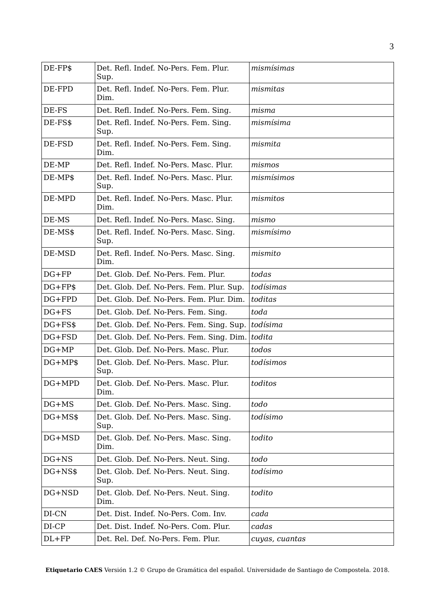| DE-FP\$      | Det. Refl. Indef. No-Pers. Fem. Plur.<br>Sup.  | mismísimas     |
|--------------|------------------------------------------------|----------------|
| DE-FPD       | Det. Refl. Indef. No-Pers. Fem. Plur.<br>Dim.  | mismitas       |
| DE-FS        | Det. Refl. Indef. No-Pers. Fem. Sing.          | misma          |
| DE-FS\$      | Det. Refl. Indef. No-Pers. Fem. Sing.<br>Sup.  | mismísima      |
| DE-FSD       | Det. Refl. Indef. No-Pers. Fem. Sing.<br>Dim.  | mismita        |
| DE-MP        | Det. Refl. Indef. No-Pers. Masc. Plur.         | mismos         |
| DE-MP\$      | Det. Refl. Indef. No-Pers. Masc. Plur.<br>Sup. | mismísimos     |
| DE-MPD       | Det. Refl. Indef. No-Pers. Masc. Plur.<br>Dim. | mismitos       |
| DE-MS        | Det. Refl. Indef. No-Pers. Masc. Sing.         | mismo          |
| DE-MS\$      | Det. Refl. Indef. No-Pers. Masc. Sing.<br>Sup. | mismísimo      |
| DE-MSD       | Det. Refl. Indef. No-Pers. Masc. Sing.<br>Dim. | mismito        |
| $DG$ + $FP$  | Det. Glob. Def. No-Pers. Fem. Plur.            | todas          |
| $DG + FP$ \$ | Det. Glob. Def. No-Pers. Fem. Plur. Sup.       | todísimas      |
| $DG+FPD$     | Det. Glob. Def. No-Pers. Fem. Plur. Dim.       | toditas        |
| $DG + FS$    | Det. Glob. Def. No-Pers. Fem. Sing.            | toda           |
| $DG + FSS$   | Det. Glob. Def. No-Pers. Fem. Sing. Sup.       | todísima       |
| DG+FSD       | Det. Glob. Def. No-Pers. Fem. Sing. Dim.       | todita         |
| $DG+MP$      | Det. Glob. Def. No-Pers. Masc. Plur.           | todos          |
| $DG+MP$$     | Det. Glob. Def. No-Pers. Masc. Plur.<br>Sup.   | todísimos      |
| DG+MPD       | Det. Glob. Def. No-Pers. Masc. Plur.<br>Dim.   | toditos        |
| $DG+MS$      | Det. Glob. Def. No-Pers. Masc. Sing.           | todo           |
| $DG+MS$$     | Det. Glob. Def. No-Pers. Masc. Sing.<br>Sup.   | todísimo       |
| DG+MSD       | Det. Glob. Def. No-Pers. Masc. Sing.<br>Dim.   | todito         |
| $DG+NS$      | Det. Glob. Def. No-Pers. Neut. Sing.           | todo           |
| DG+NS\$      | Det. Glob. Def. No-Pers. Neut. Sing.<br>Sup.   | todísimo       |
| DG+NSD       | Det. Glob. Def. No-Pers. Neut. Sing.<br>Dim.   | todito         |
| DI-CN        | Det. Dist. Indef. No-Pers. Com. Inv.           | cada           |
| DI-CP        | Det. Dist. Indef. No-Pers. Com. Plur.          | cadas          |
| $DL+FP$      | Det. Rel. Def. No-Pers. Fem. Plur.             | cuyas, cuantas |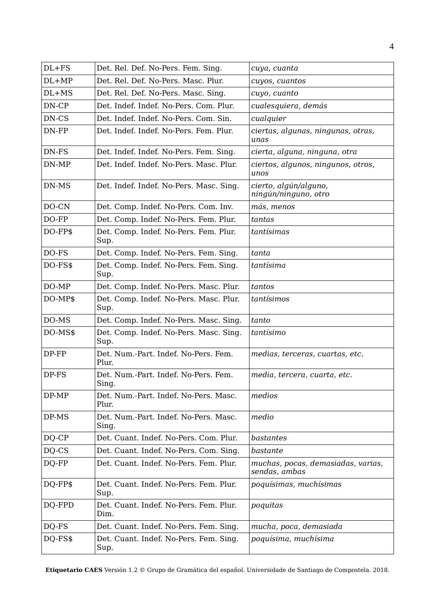| $DL+FS$ | Det. Rel. Def. No-Pers. Fem. Sing.             | cuya, cuanta                                        |
|---------|------------------------------------------------|-----------------------------------------------------|
| $DL+MP$ | Det. Rel. Def. No-Pers. Masc. Plur.            | cuyos, cuantos                                      |
| $DL+MS$ | Det. Rel. Def. No-Pers. Masc. Sing.            | cuyo, cuanto                                        |
| DN-CP   | Det. Indef. Indef. No-Pers. Com. Plur.         | cualesquiera, demás                                 |
| DN-CS   | Det. Indef. Indef. No-Pers. Com. Sin.          | cualquier                                           |
| DN-FP   | Det. Indef. Indef. No-Pers. Fem. Plur.         | ciertas, algunas, ningunas, otras,<br>unas          |
| DN-FS   | Det. Indef. Indef. No-Pers. Fem. Sing.         | cierta, alguna, ninguna, otra                       |
| DN-MP   | Det. Indef. Indef. No-Pers. Masc. Plur.        | ciertos, algunos, ningunos, otros,<br>unos          |
| DN-MS   | Det. Indef. Indef. No-Pers. Masc. Sing.        | cierto, algún/alguno,<br>ningún/ninguno, otro       |
| DO-CN   | Det. Comp. Indef. No-Pers. Com. Inv.           | más, menos                                          |
| DO-FP   | Det. Comp. Indef. No-Pers. Fem. Plur.          | tantas                                              |
| DO-FP\$ | Det. Comp. Indef. No-Pers. Fem. Plur.<br>Sup.  | tantísimas                                          |
| DO-FS   | Det. Comp. Indef. No-Pers. Fem. Sing.          | tanta                                               |
| DO-FS\$ | Det. Comp. Indef. No-Pers. Fem. Sing.<br>Sup.  | tantísima                                           |
| DO-MP   | Det. Comp. Indef. No-Pers. Masc. Plur.         | tantos                                              |
| DO-MP\$ | Det. Comp. Indef. No-Pers. Masc. Plur.<br>Sup. | tantísimos                                          |
| DO-MS   | Det. Comp. Indef. No-Pers. Masc. Sing.         | tanto                                               |
| DO-MS\$ | Det. Comp. Indef. No-Pers. Masc. Sing.<br>Sup. | tantísimo                                           |
| DP-FP   | Det. Num.-Part. Indef. No-Pers. Fem.<br>Plur.  | medias, terceras, cuartas, etc.                     |
| DP-FS   | Det. Num.-Part. Indef. No-Pers. Fem.<br>Sing.  | media, tercera, cuarta, etc.                        |
| DP-MP   | Det. Num.-Part. Indef. No-Pers. Masc.<br>Plur. | medios                                              |
| DP-MS   | Det. Num.-Part. Indef. No-Pers. Masc.<br>Sing. | medio                                               |
| DQ-CP   | Det. Cuant. Indef. No-Pers. Com. Plur.         | bastantes                                           |
| DQ-CS   | Det. Cuant. Indef. No-Pers. Com. Sing.         | bastante                                            |
| DQ-FP   | Det. Cuant. Indef. No-Pers. Fem. Plur.         | muchas, pocas, demasiadas, varias,<br>sendas, ambas |
| DQ-FP\$ | Det. Cuant. Indef. No-Pers. Fem. Plur.<br>Sup. | poquísimas, muchísimas                              |
| DQ-FPD  | Det. Cuant. Indef. No-Pers. Fem. Plur.<br>Dim. | poquitas                                            |
| DQ-FS   | Det. Cuant. Indef. No-Pers. Fem. Sing.         | mucha, poca, demasiada                              |
| DQ-FS\$ | Det. Cuant. Indef. No-Pers. Fem. Sing.<br>Sup. | poquísima, muchísima                                |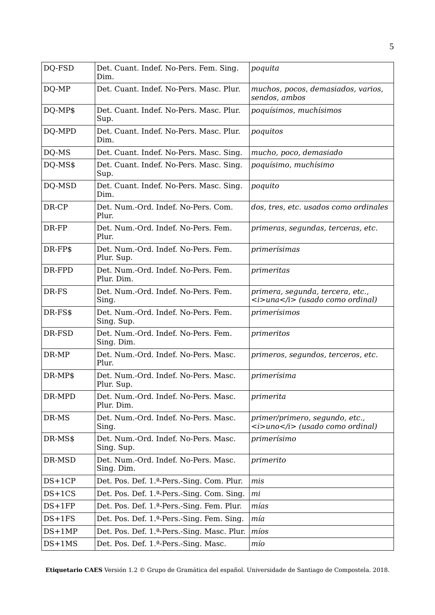| DQ-FSD   | Det. Cuant. Indef. No-Pers. Fem. Sing.<br>Dim.     | poquita                                                                                              |
|----------|----------------------------------------------------|------------------------------------------------------------------------------------------------------|
| DQ-MP    | Det. Cuant. Indef. No-Pers. Masc. Plur.            | muchos, pocos, demasiados, varios,<br>sendos, ambos                                                  |
| DQ-MP\$  | Det. Cuant. Indef. No-Pers. Masc. Plur.<br>Sup.    | poquísimos, muchísimos                                                                               |
| DQ-MPD   | Det. Cuant. Indef. No-Pers. Masc. Plur.<br>Dim.    | poquitos                                                                                             |
| DQ-MS    | Det. Cuant. Indef. No-Pers. Masc. Sing.            | mucho, poco, demasiado                                                                               |
| DQ-MS\$  | Det. Cuant. Indef. No-Pers. Masc. Sing.<br>Sup.    | poquísimo, muchísimo                                                                                 |
| DQ-MSD   | Det. Cuant. Indef. No-Pers. Masc. Sing.<br>Dim.    | poquito                                                                                              |
| DR-CP    | Det. Num.-Ord. Indef. No-Pers. Com.<br>Plur.       | dos, tres, etc. usados como ordinales                                                                |
| DR-FP    | Det. Num.-Ord. Indef. No-Pers. Fem.<br>Plur.       | primeras, segundas, terceras, etc.                                                                   |
| DR-FP\$  | Det. Num.-Ord. Indef. No-Pers. Fem.<br>Plur. Sup.  | primerísimas                                                                                         |
| DR-FPD   | Det. Num.-Ord. Indef. No-Pers. Fem.<br>Plur. Dim.  | primeritas                                                                                           |
| DR-FS    | Det. Num.-Ord. Indef. No-Pers. Fem.<br>Sing.       | primera, segunda, tercera, etc.,<br>$\langle i \rangle$ una $\langle i \rangle$ (usado como ordinal) |
| DR-FS\$  | Det. Num.-Ord. Indef. No-Pers. Fem.<br>Sing. Sup.  | primerísimos                                                                                         |
| DR-FSD   | Det. Num.-Ord. Indef. No-Pers. Fem.<br>Sing. Dim.  | primeritos                                                                                           |
| DR-MP    | Det. Num.-Ord. Indef. No-Pers. Masc.<br>Plur.      | primeros, segundos, terceros, etc.                                                                   |
| DR-MP\$  | Det. Num.-Ord. Indef. No-Pers. Masc.<br>Plur. Sup. | primerísima                                                                                          |
| DR-MPD   | Det. Num.-Ord. Indef. No-Pers. Masc.<br>Plur. Dim. | primerita                                                                                            |
| DR-MS    | Det. Num.-Ord. Indef. No-Pers. Masc.<br>Sing.      | primer/primero, segundo, etc.,<br>$\langle i \rangle$ and $\langle i \rangle$ (usado como ordinal)   |
| DR-MS\$  | Det. Num.-Ord. Indef. No-Pers. Masc.<br>Sing. Sup. | primerísimo                                                                                          |
| DR-MSD   | Det. Num.-Ord. Indef. No-Pers. Masc.<br>Sing. Dim. | primerito                                                                                            |
| $DS+1CP$ | Det. Pos. Def. 1.ª-Pers.-Sing. Com. Plur.          | mis                                                                                                  |
| $DS+1CS$ | Det. Pos. Def. 1.ª-Pers.-Sing. Com. Sing.          | mi                                                                                                   |
| $DS+1FP$ | Det. Pos. Def. 1.ª-Pers.-Sing. Fem. Plur.          | mías                                                                                                 |
| $DS+1FS$ | Det. Pos. Def. 1.ª-Pers.-Sing. Fem. Sing.          | mía                                                                                                  |
| $DS+1MP$ | Det. Pos. Def. 1.ª-Pers.-Sing. Masc. Plur.         | míos                                                                                                 |
| $DS+1MS$ | Det. Pos. Def. 1. <sup>a</sup> -Pers.-Sing. Masc.  | mío                                                                                                  |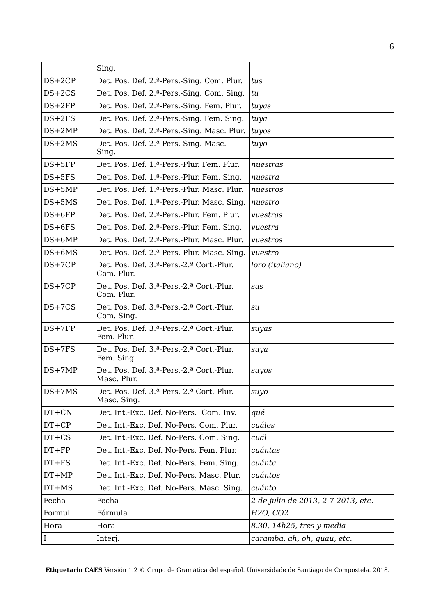|           | Sing.                                                                           |                                    |
|-----------|---------------------------------------------------------------------------------|------------------------------------|
| $DS+2CP$  | Det. Pos. Def. 2.ª-Pers.-Sing. Com. Plur.                                       | tus                                |
| $DS+2CS$  | Det. Pos. Def. 2. <sup>a</sup> -Pers.-Sing. Com. Sing.                          | tu                                 |
| $DS+2FP$  | Det. Pos. Def. 2. <sup>a</sup> -Pers.-Sing. Fem. Plur.                          | tuyas                              |
| $DS+2FS$  | Det. Pos. Def. 2. <sup>a</sup> -Pers.-Sing. Fem. Sing.                          | tuya                               |
| $DS+2MP$  | Det. Pos. Def. 2.ª-Pers.-Sing. Masc. Plur.                                      | tuyos                              |
| $DS+2MS$  | Det. Pos. Def. 2. <sup>a</sup> -Pers.-Sing. Masc.<br>Sing.                      | tuyo                               |
| $DS+5FP$  | Det. Pos. Def. 1.ª-Pers.-Plur. Fem. Plur.                                       | nuestras                           |
| $DS+5FS$  | Det. Pos. Def. 1.ª-Pers.-Plur. Fem. Sing.                                       | nuestra                            |
| $DS+5MP$  | Det. Pos. Def. 1. <sup>a</sup> -Pers.-Plur. Masc. Plur.                         | nuestros                           |
| $DS+5MS$  | Det. Pos. Def. 1.ª-Pers.-Plur. Masc. Sing.                                      | nuestro                            |
| $DS+6FP$  | Det. Pos. Def. 2. <sup>a</sup> -Pers.-Plur. Fem. Plur.                          | vuestras                           |
| $DS+6FS$  | Det. Pos. Def. 2.ª-Pers.-Plur. Fem. Sing.                                       | vuestra                            |
| $DS+6MP$  | Det. Pos. Def. 2. <sup>a</sup> -Pers.-Plur. Masc. Plur.                         | vuestros                           |
| $DS+6MS$  | Det. Pos. Def. 2.ª-Pers.-Plur. Masc. Sing.                                      | vuestro                            |
| $DS+7CP$  | Det. Pos. Def. 3. <sup>a</sup> -Pers.-2. <sup>a</sup> Cort.-Plur.<br>Com. Plur. | loro (italiano)                    |
| $DS+7CP$  | Det. Pos. Def. 3.ª-Pers.-2.ª Cort.-Plur.<br>Com. Plur.                          | sus                                |
| $DS+7CS$  | Det. Pos. Def. 3.ª-Pers.-2.ª Cort.-Plur.<br>Com. Sing.                          | su                                 |
| $DS+7FP$  | Det. Pos. Def. 3.ª-Pers.-2.ª Cort.-Plur.<br>Fem. Plur.                          | suyas                              |
| $DS+7FS$  | Det. Pos. Def. 3.ª-Pers.-2.ª Cort.-Plur.<br>Fem. Sing.                          | suya                               |
| $DS+7MP$  | Det. Pos. Def. 3.ª-Pers.-2.ª Cort.-Plur.<br>Masc. Plur.                         | suyos                              |
| $DS+7MS$  | Det. Pos. Def. 3.ª-Pers.-2.ª Cort.-Plur.<br>Masc. Sing.                         | suyo                               |
| DT+CN     | Det. Int.-Exc. Def. No-Pers. Com. Inv.                                          | qué                                |
| $DT+CP$   | Det. Int.-Exc. Def. No-Pers. Com. Plur.                                         | cuáles                             |
| $DT+CS$   | Det. Int.-Exc. Def. No-Pers. Com. Sing.                                         | cuál                               |
| $DT+FP$   | Det. Int.-Exc. Def. No-Pers. Fem. Plur.                                         | cuántas                            |
| $DT + FS$ | Det. Int.-Exc. Def. No-Pers. Fem. Sing.                                         | cuánta                             |
| $DT+MP$   | Det. Int.-Exc. Def. No-Pers. Masc. Plur.                                        | cuántos                            |
| $DT+MS$   | Det. Int.-Exc. Def. No-Pers. Masc. Sing.                                        | cuánto                             |
| Fecha     | Fecha                                                                           | 2 de julio de 2013, 2-7-2013, etc. |
| Formul    | Fórmula                                                                         | H <sub>2</sub> O, CO <sub>2</sub>  |
| Hora      | Hora                                                                            | 8.30, 14h25, tres y media          |
| I         | Interj.                                                                         | caramba, ah, oh, guau, etc.        |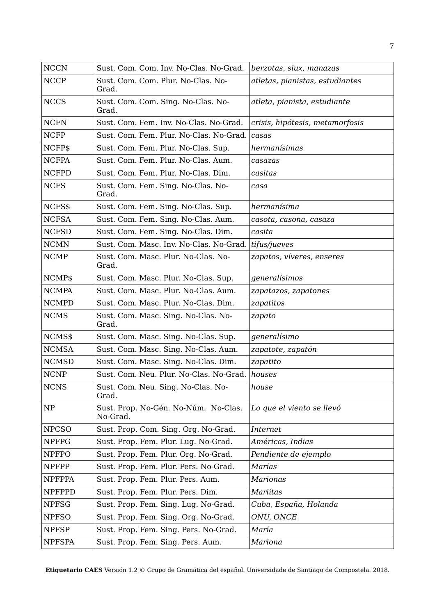| <b>NCCN</b>   | Sust. Com. Com. Inv. No-Clas. No-Grad.           | berzotas, siux, manazas         |
|---------------|--------------------------------------------------|---------------------------------|
| <b>NCCP</b>   | Sust. Com. Com. Plur. No-Clas. No-<br>Grad.      | atletas, pianistas, estudiantes |
| <b>NCCS</b>   | Sust. Com. Com. Sing. No-Clas. No-<br>Grad.      | atleta, pianista, estudiante    |
| <b>NCFN</b>   | Sust. Com. Fem. Inv. No-Clas. No-Grad.           | crisis, hipótesis, metamorfosis |
| <b>NCFP</b>   | Sust. Com. Fem. Plur. No-Clas. No-Grad.          | casas                           |
| NCFP\$        | Sust. Com. Fem. Plur. No-Clas. Sup.              | hermanísimas                    |
| <b>NCFPA</b>  | Sust. Com. Fem. Plur. No-Clas. Aum.              | casazas                         |
| <b>NCFPD</b>  | Sust. Com. Fem. Plur. No-Clas. Dim.              | casitas                         |
| <b>NCFS</b>   | Sust. Com. Fem. Sing. No-Clas. No-<br>Grad.      | casa                            |
| NCFS\$        | Sust. Com. Fem. Sing. No-Clas. Sup.              | hermanísima                     |
| <b>NCFSA</b>  | Sust. Com. Fem. Sing. No-Clas. Aum.              | casota, casona, casaza          |
| <b>NCFSD</b>  | Sust. Com. Fem. Sing. No-Clas. Dim.              | casita                          |
| <b>NCMN</b>   | Sust. Com. Masc. Inv. No-Clas. No-Grad.          | tifus/jueves                    |
| <b>NCMP</b>   | Sust. Com. Masc. Plur. No-Clas. No-<br>Grad.     | zapatos, víveres, enseres       |
| NCMP\$        | Sust. Com. Masc. Plur. No-Clas. Sup.             | generalísimos                   |
| <b>NCMPA</b>  | Sust. Com. Masc. Plur. No-Clas. Aum.             | zapatazos, zapatones            |
| <b>NCMPD</b>  | Sust. Com. Masc. Plur. No-Clas. Dim.             | zapatitos                       |
| <b>NCMS</b>   | Sust. Com. Masc. Sing. No-Clas. No-<br>Grad.     | zapato                          |
| NCMS\$        | Sust. Com. Masc. Sing. No-Clas. Sup.             | generalísimo                    |
| <b>NCMSA</b>  | Sust. Com. Masc. Sing. No-Clas. Aum.             | zapatote, zapatón               |
| <b>NCMSD</b>  | Sust. Com. Masc. Sing. No-Clas. Dim.             | zapatito                        |
| <b>NCNP</b>   | Sust. Com. Neu. Plur. No-Clas. No-Grad.          | houses                          |
| <b>NCNS</b>   | Sust. Com. Neu. Sing. No-Clas. No-<br>Grad.      | house                           |
| NP            | Sust. Prop. No-Gén. No-Núm. No-Clas.<br>No-Grad. | Lo que el viento se llevó       |
| <b>NPCSO</b>  | Sust. Prop. Com. Sing. Org. No-Grad.             | Internet                        |
| <b>NPFPG</b>  | Sust. Prop. Fem. Plur. Lug. No-Grad.             | Américas, Indias                |
| <b>NPFPO</b>  | Sust. Prop. Fem. Plur. Org. No-Grad.             | Pendiente de ejemplo            |
| <b>NPFPP</b>  | Sust. Prop. Fem. Plur. Pers. No-Grad.            | Marías                          |
| <b>NPFPPA</b> | Sust. Prop. Fem. Plur. Pers. Aum.                | Marionas                        |
| NPFPPD        | Sust. Prop. Fem. Plur. Pers. Dim.                | Mariítas                        |
| <b>NPFSG</b>  | Sust. Prop. Fem. Sing. Lug. No-Grad.             | Cuba, España, Holanda           |
| <b>NPFSO</b>  | Sust. Prop. Fem. Sing. Org. No-Grad.             | ONU, ONCE                       |
| <b>NPFSP</b>  | Sust. Prop. Fem. Sing. Pers. No-Grad.            | María                           |
| <b>NPFSPA</b> | Sust. Prop. Fem. Sing. Pers. Aum.                | Mariona                         |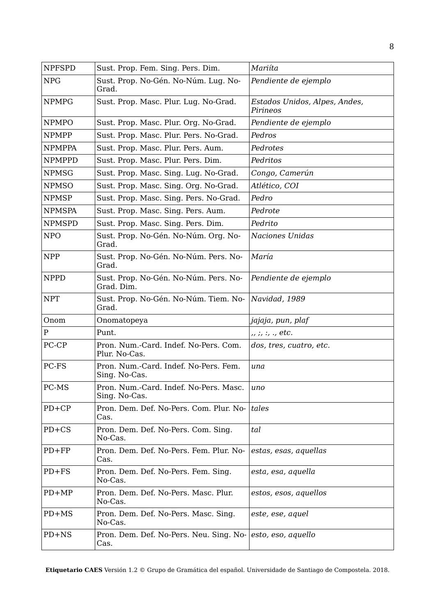| <b>NPFSPD</b> | Sust. Prop. Fem. Sing. Pers. Dim.                       | Mariíta                                   |
|---------------|---------------------------------------------------------|-------------------------------------------|
| <b>NPG</b>    | Sust. Prop. No-Gén. No-Núm. Lug. No-<br>Grad.           | Pendiente de ejemplo                      |
| <b>NPMPG</b>  | Sust. Prop. Masc. Plur. Lug. No-Grad.                   | Estados Unidos, Alpes, Andes,<br>Pirineos |
| <b>NPMPO</b>  | Sust. Prop. Masc. Plur. Org. No-Grad.                   | Pendiente de ejemplo                      |
| <b>NPMPP</b>  | Sust. Prop. Masc. Plur. Pers. No-Grad.                  | Pedros                                    |
| <b>NPMPPA</b> | Sust. Prop. Masc. Plur. Pers. Aum.                      | Pedrotes                                  |
| <b>NPMPPD</b> | Sust. Prop. Masc. Plur. Pers. Dim.                      | Pedritos                                  |
| <b>NPMSG</b>  | Sust. Prop. Masc. Sing. Lug. No-Grad.                   | Congo, Camerún                            |
| <b>NPMSO</b>  | Sust. Prop. Masc. Sing. Org. No-Grad.                   | Atlético, COI                             |
| <b>NPMSP</b>  | Sust. Prop. Masc. Sing. Pers. No-Grad.                  | Pedro                                     |
| <b>NPMSPA</b> | Sust. Prop. Masc. Sing. Pers. Aum.                      | Pedrote                                   |
| <b>NPMSPD</b> | Sust. Prop. Masc. Sing. Pers. Dim.                      | Pedrito                                   |
| <b>NPO</b>    | Sust. Prop. No-Gén. No-Núm. Org. No-<br>Grad.           | <b>Naciones Unidas</b>                    |
| <b>NPP</b>    | Sust. Prop. No-Gén. No-Núm. Pers. No-<br>Grad.          | María                                     |
| <b>NPPD</b>   | Sust. Prop. No-Gén. No-Núm. Pers. No-<br>Grad. Dim.     | Pendiente de ejemplo                      |
| <b>NPT</b>    | Sust. Prop. No-Gén. No-Núm. Tiem. No-<br>Grad.          | Navidad, 1989                             |
| Onom          | Onomatopeya                                             | jajaja, pun, plaf                         |
| $\mathbf P$   | Punt.                                                   | ,, ;, :, ., etc.                          |
| PC-CP         | Pron. Num.-Card. Indef. No-Pers. Com.<br>Plur. No-Cas.  | dos, tres, cuatro, etc.                   |
| PC-FS         | Pron. Num.-Card. Indef. No-Pers. Fem.<br>Sing. No-Cas.  | una                                       |
| PC-MS         | Pron. Num.-Card. Indef. No-Pers. Masc.<br>Sing. No-Cas. | uno                                       |
| $PD+CP$       | Pron. Dem. Def. No-Pers. Com. Plur. No-<br>Cas.         | tales                                     |
| $PD+CS$       | Pron. Dem. Def. No-Pers. Com. Sing.<br>No-Cas.          | tal                                       |
| $PD+FP$       | Pron. Dem. Def. No-Pers. Fem. Plur. No-<br>Cas.         | estas, esas, aquellas                     |
| $PD + FS$     | Pron. Dem. Def. No-Pers. Fem. Sing.<br>No-Cas.          | esta, esa, aquella                        |
| $PD+MP$       | Pron. Dem. Def. No-Pers. Masc. Plur.<br>No-Cas.         | estos, esos, aquellos                     |
| $PD+MS$       | Pron. Dem. Def. No-Pers. Masc. Sing.<br>No-Cas.         | este, ese, aquel                          |
| PD+NS         | Pron. Dem. Def. No-Pers. Neu. Sing. No-<br>Cas.         | esto, eso, aquello                        |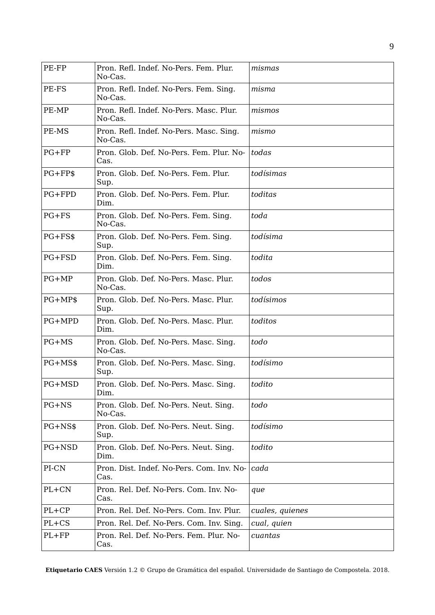| PE-FP      | Pron. Refl. Indef. No-Pers. Fem. Plur.<br>No-Cas.  | mismas          |
|------------|----------------------------------------------------|-----------------|
| PE-FS      | Pron. Refl. Indef. No-Pers. Fem. Sing.<br>No-Cas.  | misma           |
| PE-MP      | Pron. Refl. Indef. No-Pers. Masc. Plur.<br>No-Cas. | mismos          |
| PE-MS      | Pron. Refl. Indef. No-Pers. Masc. Sing.<br>No-Cas. | mismo           |
| $PG + FP$  | Pron. Glob. Def. No-Pers. Fem. Plur. No-<br>Cas.   | todas           |
| $PG + FPS$ | Pron. Glob. Def. No-Pers. Fem. Plur.<br>Sup.       | todísimas       |
| PG+FPD     | Pron. Glob. Def. No-Pers. Fem. Plur.<br>Dim.       | toditas         |
| $PG + FS$  | Pron. Glob. Def. No-Pers. Fem. Sing.<br>No-Cas.    | toda            |
| $PG + FSS$ | Pron. Glob. Def. No-Pers. Fem. Sing.<br>Sup.       | todísima        |
| PG+FSD     | Pron. Glob. Def. No-Pers. Fem. Sing.<br>Dim.       | todita          |
| $PG+MP$    | Pron. Glob. Def. No-Pers. Masc. Plur.<br>No-Cas.   | todos           |
| $PG+MP$$   | Pron. Glob. Def. No-Pers. Masc. Plur.<br>Sup.      | todísimos       |
| PG+MPD     | Pron. Glob. Def. No-Pers. Masc. Plur.<br>Dim.      | toditos         |
| $PG+MS$    | Pron. Glob. Def. No-Pers. Masc. Sing.<br>No-Cas.   | todo            |
| PG+MS\$    | Pron. Glob. Def. No-Pers. Masc. Sing.<br>Sup.      | todísimo        |
| PG+MSD     | Pron. Glob. Def. No-Pers. Masc. Sing.<br>Dim.      | todito          |
| PG+NS      | Pron. Glob. Def. No-Pers. Neut. Sing.<br>No-Cas.   | todo            |
| PG+NS\$    | Pron. Glob. Def. No-Pers. Neut. Sing.<br>Sup.      | todísimo        |
| PG+NSD     | Pron. Glob. Def. No-Pers. Neut. Sing.<br>Dim.      | todito          |
| PI-CN      | Pron. Dist. Indef. No-Pers. Com. Inv. No-<br>Cas.  | cada            |
| $PL+CN$    | Pron. Rel. Def. No-Pers. Com. Inv. No-<br>Cas.     | que             |
| $PL+CP$    | Pron. Rel. Def. No-Pers. Com. Inv. Plur.           | cuales, quienes |
| PL+CS      | Pron. Rel. Def. No-Pers. Com. Inv. Sing.           | cual, quien     |
| $PL + FP$  | Pron. Rel. Def. No-Pers. Fem. Plur. No-<br>Cas.    | cuantas         |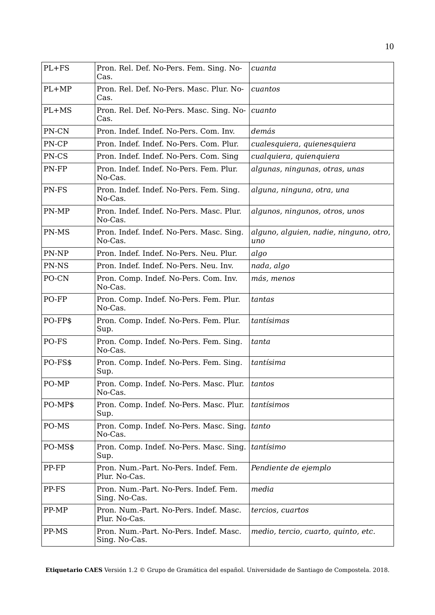| $PL + FS$ | Pron. Rel. Def. No-Pers. Fem. Sing. No-<br>Cas.         | cuanta                                        |
|-----------|---------------------------------------------------------|-----------------------------------------------|
| $PL+MP$   | Pron. Rel. Def. No-Pers. Masc. Plur. No-<br>Cas.        | cuantos                                       |
| PL+MS     | Pron. Rel. Def. No-Pers. Masc. Sing. No-<br>Cas.        | cuanto                                        |
| PN-CN     | Pron. Indef. Indef. No-Pers. Com. Inv.                  | demás                                         |
| PN-CP     | Pron. Indef. Indef. No-Pers. Com. Plur.                 | cualesquiera, quienesquiera                   |
| PN-CS     | Pron. Indef. Indef. No-Pers. Com. Sing                  | cualquiera, quienquiera                       |
| PN-FP     | Pron. Indef. Indef. No-Pers. Fem. Plur.<br>No-Cas.      | algunas, ningunas, otras, unas                |
| PN-FS     | Pron. Indef. Indef. No-Pers. Fem. Sing.<br>No-Cas.      | alguna, ninguna, otra, una                    |
| PN-MP     | Pron. Indef. Indef. No-Pers. Masc. Plur.<br>No-Cas.     | algunos, ningunos, otros, unos                |
| PN-MS     | Pron. Indef. Indef. No-Pers. Masc. Sing.<br>No-Cas.     | alguno, alguien, nadie, ninguno, otro,<br>uno |
| PN-NP     | Pron. Indef. Indef. No-Pers. Neu. Plur.                 | algo                                          |
| PN-NS     | Pron. Indef. Indef. No-Pers. Neu. Inv.                  | nada, algo                                    |
| PO-CN     | Pron. Comp. Indef. No-Pers. Com. Inv.<br>No-Cas.        | más, menos                                    |
| PO-FP     | Pron. Comp. Indef. No-Pers. Fem. Plur.<br>No-Cas.       | tantas                                        |
| PO-FP\$   | Pron. Comp. Indef. No-Pers. Fem. Plur.<br>Sup.          | tantísimas                                    |
| PO-FS     | Pron. Comp. Indef. No-Pers. Fem. Sing.<br>No-Cas.       | tanta                                         |
| PO-FS\$   | Pron. Comp. Indef. No-Pers. Fem. Sing.<br>Sup.          | tantísima                                     |
| PO-MP     | Pron. Comp. Indef. No-Pers. Masc. Plur.<br>No-Cas.      | tantos                                        |
| PO-MP\$   | Pron. Comp. Indef. No-Pers. Masc. Plur.<br>Sup.         | tantísimos                                    |
| PO-MS     | Pron. Comp. Indef. No-Pers. Masc. Sing.<br>No-Cas.      | tanto                                         |
| PO-MS\$   | Pron. Comp. Indef. No-Pers. Masc. Sing.<br>Sup.         | tantísimo                                     |
| PP-FP     | Pron. Num.-Part. No-Pers. Indef. Fem.<br>Plur. No-Cas.  | Pendiente de ejemplo                          |
| PP-FS     | Pron. Num.-Part. No-Pers. Indef. Fem.<br>Sing. No-Cas.  | media                                         |
| PP-MP     | Pron. Num.-Part. No-Pers. Indef. Masc.<br>Plur. No-Cas. | tercios, cuartos                              |
| PP-MS     | Pron. Num.-Part. No-Pers. Indef. Masc.<br>Sing. No-Cas. | medio, tercio, cuarto, quinto, etc.           |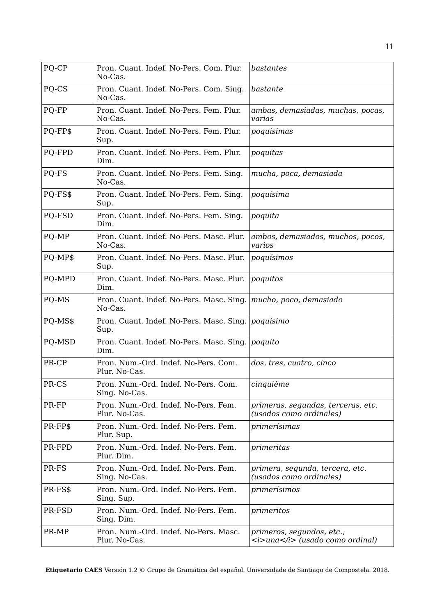| PO-CP   | Pron. Cuant. Indef. No-Pers. Com. Plur.<br>No-Cas.     | bastantes                                                                                     |
|---------|--------------------------------------------------------|-----------------------------------------------------------------------------------------------|
| PQ-CS   | Pron. Cuant. Indef. No-Pers. Com. Sing.<br>No-Cas.     | bastante                                                                                      |
| PQ-FP   | Pron. Cuant. Indef. No-Pers. Fem. Plur.<br>No-Cas.     | ambas, demasiadas, muchas, pocas,<br>varias                                                   |
| PQ-FP\$ | Pron. Cuant. Indef. No-Pers. Fem. Plur.<br>Sup.        | poquísimas                                                                                    |
| PQ-FPD  | Pron. Cuant. Indef. No-Pers. Fem. Plur.<br>Dim.        | poquitas                                                                                      |
| PQ-FS   | Pron. Cuant. Indef. No-Pers. Fem. Sing.<br>No-Cas.     | mucha, poca, demasiada                                                                        |
| PQ-FS\$ | Pron. Cuant. Indef. No-Pers. Fem. Sing.<br>Sup.        | poquísima                                                                                     |
| PQ-FSD  | Pron. Cuant. Indef. No-Pers. Fem. Sing.<br>Dim.        | poquita                                                                                       |
| PQ-MP   | Pron. Cuant. Indef. No-Pers. Masc. Plur.<br>No-Cas.    | ambos, demasiados, muchos, pocos,<br>varios                                                   |
| PQ-MP\$ | Pron. Cuant. Indef. No-Pers. Masc. Plur.<br>Sup.       | poquísimos                                                                                    |
| PQ-MPD  | Pron. Cuant. Indef. No-Pers. Masc. Plur.<br>Dim.       | poquitos                                                                                      |
| PQ-MS   | Pron. Cuant. Indef. No-Pers. Masc. Sing.<br>No-Cas.    | mucho, poco, demasiado                                                                        |
| PQ-MS\$ | Pron. Cuant. Indef. No-Pers. Masc. Sing.<br>Sup.       | poquísimo                                                                                     |
| PQ-MSD  | Pron. Cuant. Indef. No-Pers. Masc. Sing.<br>Dim.       | poquito                                                                                       |
| PR-CP   | Pron. Num.-Ord. Indef. No-Pers. Com.<br>Plur. No-Cas.  | dos, tres, cuatro, cinco                                                                      |
| PR-CS   | Pron. Num.-Ord. Indef. No-Pers. Com.<br>Sing. No-Cas.  | cinquième                                                                                     |
| PR-FP   | Pron. Num.-Ord. Indef. No-Pers. Fem.<br>Plur. No-Cas.  | primeras, segundas, terceras, etc.<br>(usados como ordinales)                                 |
| PR-FP\$ | Pron. Num.-Ord. Indef. No-Pers. Fem.<br>Plur. Sup.     | primerísimas                                                                                  |
| PR-FPD  | Pron. Num.-Ord. Indef. No-Pers. Fem.<br>Plur. Dim.     | primeritas                                                                                    |
| PR-FS   | Pron. Num.-Ord. Indef. No-Pers. Fem.<br>Sing. No-Cas.  | primera, segunda, tercera, etc.<br>(usados como ordinales)                                    |
| PR-FS\$ | Pron. Num.-Ord. Indef. No-Pers. Fem.<br>Sing. Sup.     | primerísimos                                                                                  |
| PR-FSD  | Pron. Num.-Ord. Indef. No-Pers. Fem.<br>Sing. Dim.     | primeritos                                                                                    |
| PR-MP   | Pron. Num.-Ord. Indef. No-Pers. Masc.<br>Plur. No-Cas. | primeros, segundos, etc.,<br>$\langle i \rangle$ and $\langle i \rangle$ (usado como ordinal) |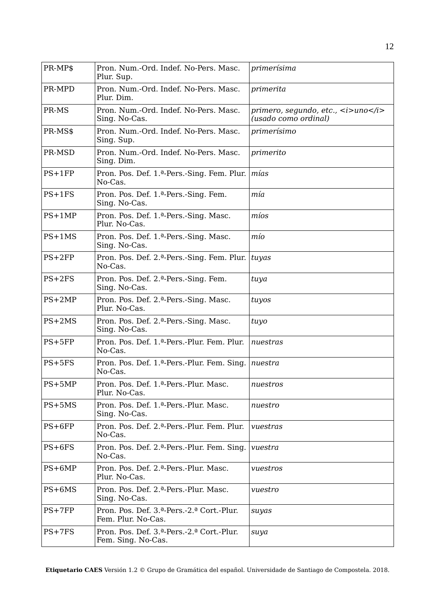| PR-MP\$  | Pron. Num.-Ord. Indef. No-Pers. Masc.<br>Plur. Sup.                 | primerísima                                                           |
|----------|---------------------------------------------------------------------|-----------------------------------------------------------------------|
| PR-MPD   | Pron. Num.-Ord. Indef. No-Pers. Masc.<br>Plur. Dim.                 | primerita                                                             |
| PR-MS    | Pron. Num.-Ord. Indef. No-Pers. Masc.<br>Sing. No-Cas.              | primero, segundo, etc., $\lt$ i>uno $\lt$ /i><br>(usado como ordinal) |
| PR-MS\$  | Pron. Num.-Ord. Indef. No-Pers. Masc.<br>Sing. Sup.                 | primerísimo                                                           |
| PR-MSD   | Pron. Num.-Ord. Indef. No-Pers. Masc.<br>Sing. Dim.                 | primerito                                                             |
| $PS+1FP$ | Pron. Pos. Def. 1. <sup>a</sup> -Pers.-Sing. Fem. Plur.<br>No-Cas.  | mías                                                                  |
| $PS+1FS$ | Pron. Pos. Def. 1.ª-Pers.-Sing. Fem.<br>Sing. No-Cas.               | mía                                                                   |
| $PS+1MP$ | Pron. Pos. Def. 1. <sup>a</sup> -Pers.-Sing. Masc.<br>Plur. No-Cas. | míos                                                                  |
| $PS+1MS$ | Pron. Pos. Def. 1.ª-Pers.-Sing. Masc.<br>Sing. No-Cas.              | mío                                                                   |
| $PS+2FP$ | Pron. Pos. Def. 2. <sup>a</sup> -Pers.-Sing. Fem. Plur.<br>No-Cas.  | tuyas                                                                 |
| $PS+2FS$ | Pron. Pos. Def. 2. <sup>a</sup> -Pers.-Sing. Fem.<br>Sing. No-Cas.  | tuya                                                                  |
| $PS+2MP$ | Pron. Pos. Def. 2. <sup>a</sup> -Pers.-Sing. Masc.<br>Plur. No-Cas. | tuyos                                                                 |
| $PS+2MS$ | Pron. Pos. Def. 2. <sup>a</sup> -Pers.-Sing. Masc.<br>Sing. No-Cas. | tuyo                                                                  |
| $PS+5FP$ | Pron. Pos. Def. 1.ª-Pers.-Plur. Fem. Plur.<br>No-Cas.               | nuestras                                                              |
| $PS+5FS$ | Pron. Pos. Def. 1. <sup>a</sup> -Pers.-Plur. Fem. Sing.<br>No-Cas.  | nuestra                                                               |
| $PS+5MP$ | Pron. Pos. Def. 1.ª-Pers.-Plur. Masc.<br>Plur. No-Cas.              | nuestros                                                              |
| $PS+5MS$ | Pron. Pos. Def. 1.ª-Pers.-Plur. Masc.<br>Sing. No-Cas.              | nuestro                                                               |
| $PS+6FP$ | Pron. Pos. Def. 2. <sup>a</sup> -Pers.-Plur. Fem. Plur.<br>No-Cas.  | vuestras                                                              |
| $PS+6FS$ | Pron. Pos. Def. 2. <sup>a</sup> -Pers.-Plur. Fem. Sing.<br>No-Cas.  | vuestra                                                               |
| $PS+6MP$ | Pron. Pos. Def. 2.ª-Pers.-Plur. Masc.<br>Plur. No-Cas.              | vuestros                                                              |
| $PS+6MS$ | Pron. Pos. Def. 2.ª-Pers.-Plur. Masc.<br>Sing. No-Cas.              | vuestro                                                               |
| $PS+7FP$ | Pron. Pos. Def. 3.ª-Pers.-2.ª Cort.-Plur.<br>Fem. Plur. No-Cas.     | suyas                                                                 |
| $PS+7FS$ | Pron. Pos. Def. 3.ª-Pers.-2.ª Cort.-Plur.<br>Fem. Sing. No-Cas.     | suya                                                                  |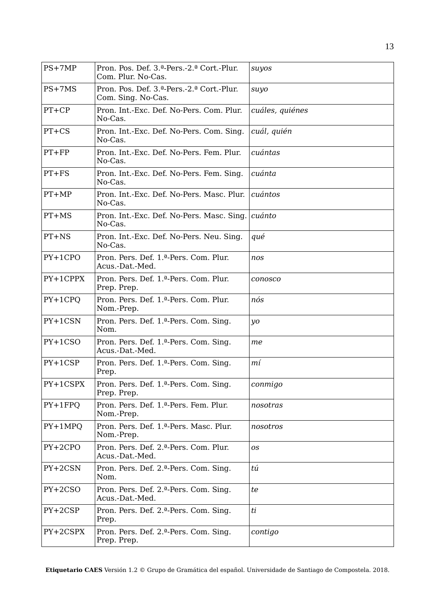| $PS+7MP$  | Pron. Pos. Def. 3.ª-Pers.-2.ª Cort.-Plur.<br>Com. Plur. No-Cas.       | suyos           |
|-----------|-----------------------------------------------------------------------|-----------------|
| $PS+7MS$  | Pron. Pos. Def. 3.ª-Pers.-2.ª Cort.-Plur.<br>Com. Sing. No-Cas.       | suyo            |
| $PT+CP$   | Pron. Int.-Exc. Def. No-Pers. Com. Plur.<br>No-Cas.                   | cuáles, quiénes |
| $PT+CS$   | Pron. Int.-Exc. Def. No-Pers. Com. Sing.<br>No-Cas.                   | cuál, quién     |
| $PT+FP$   | Pron. Int.-Exc. Def. No-Pers. Fem. Plur.<br>No-Cas.                   | cuántas         |
| $PT + FS$ | Pron. Int.-Exc. Def. No-Pers. Fem. Sing.<br>No-Cas.                   | cuánta          |
| $PT+MP$   | Pron. Int.-Exc. Def. No-Pers. Masc. Plur.<br>No-Cas.                  | cuántos         |
| $PT+MS$   | Pron. Int.-Exc. Def. No-Pers. Masc. Sing.<br>No-Cas.                  | cuánto          |
| $PT + NS$ | Pron. Int.-Exc. Def. No-Pers. Neu. Sing.<br>No-Cas.                   | qué             |
| $PY+1CPO$ | Pron. Pers. Def. 1.ª-Pers. Com. Plur.<br>Acus.-Dat.-Med.              | nos             |
| PY+1CPPX  | Pron. Pers. Def. 1.ª-Pers. Com. Plur.<br>Prep. Prep.                  | conosco         |
| $PY+1CPQ$ | Pron. Pers. Def. 1.ª-Pers. Com. Plur.<br>Nom.-Prep.                   | nós             |
| PY+1CSN   | Pron. Pers. Def. 1. <sup>a</sup> -Pers. Com. Sing.<br>Nom.            | yo              |
| $PY+1CSO$ | Pron. Pers. Def. 1. <sup>a</sup> -Pers. Com. Sing.<br>Acus.-Dat.-Med. | me              |
| $PY+1CSP$ | Pron. Pers. Def. 1.ª-Pers. Com. Sing.<br>Prep.                        | mí              |
| PY+1CSPX  | Pron. Pers. Def. 1.ª-Pers. Com. Sing.<br>Prep. Prep.                  | conmigo         |
| $PY+1FPQ$ | Pron. Pers. Def. 1.ª-Pers. Fem. Plur.<br>Nom.-Prep.                   | nosotras        |
| $PY+1MPQ$ | Pron. Pers. Def. 1.ª-Pers. Masc. Plur.<br>Nom.-Prep.                  | nosotros        |
| $PY+2CPO$ | Pron. Pers. Def. 2.ª-Pers. Com. Plur.<br>Acus.-Dat.-Med.              | 0S              |
| PY+2CSN   | Pron. Pers. Def. 2. <sup>a</sup> -Pers. Com. Sing.<br>Nom.            | tú              |
| PY+2CSO   | Pron. Pers. Def. 2.ª-Pers. Com. Sing.<br>Acus.-Dat.-Med.              | te              |
| PY+2CSP   | Pron. Pers. Def. 2. <sup>a</sup> -Pers. Com. Sing.<br>Prep.           | ti              |
| PY+2CSPX  | Pron. Pers. Def. 2.ª-Pers. Com. Sing.<br>Prep. Prep.                  | contigo         |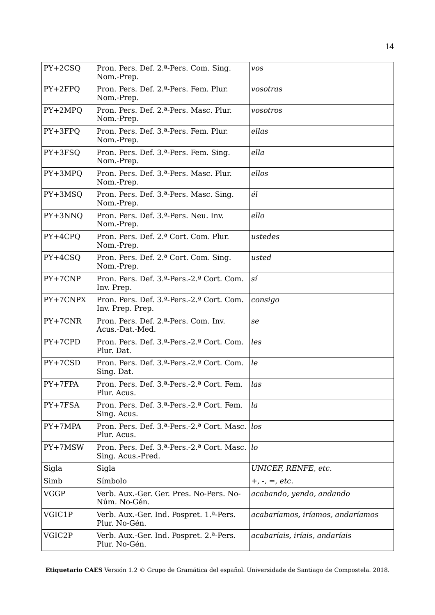| $PY+2CSO$   | Pron. Pers. Def. 2. <sup>a</sup> -Pers. Com. Sing.<br>Nom.-Prep.                         | <b>VOS</b>                       |
|-------------|------------------------------------------------------------------------------------------|----------------------------------|
| $PY+2FPQ$   | Pron. Pers. Def. 2. <sup>a</sup> -Pers. Fem. Plur.<br>Nom.-Prep.                         | vosotras                         |
| $PY+2MPO$   | Pron. Pers. Def. 2. <sup>a</sup> -Pers. Masc. Plur.<br>Nom.-Prep.                        | vosotros                         |
| PY+3FPQ     | Pron. Pers. Def. 3. <sup>a</sup> -Pers. Fem. Plur.<br>Nom.-Prep.                         | ellas                            |
| PY+3FSQ     | Pron. Pers. Def. 3.ª-Pers. Fem. Sing.<br>Nom.-Prep.                                      | ella                             |
| PY+3MPQ     | Pron. Pers. Def. 3.ª-Pers. Masc. Plur.<br>Nom.-Prep.                                     | ellos                            |
| PY+3MSQ     | Pron. Pers. Def. 3.ª-Pers. Masc. Sing.<br>Nom.-Prep.                                     | él                               |
| PY+3NNQ     | Pron. Pers. Def. 3.ª-Pers. Neu. Inv.<br>Nom.-Prep.                                       | ello                             |
| PY+4CPQ     | Pron. Pers. Def. 2.ª Cort. Com. Plur.<br>Nom.-Prep.                                      | ustedes                          |
| PY+4CSQ     | Pron. Pers. Def. 2.ª Cort. Com. Sing.<br>Nom.-Prep.                                      | usted                            |
| PY+7CNP     | Pron. Pers. Def. 3.ª-Pers.-2.ª Cort. Com.<br>Inv. Prep.                                  | sí                               |
| PY+7CNPX    | Pron. Pers. Def. 3.ª-Pers.-2.ª Cort. Com.<br>Inv. Prep. Prep.                            | consigo                          |
| $PY+7CNR$   | Pron. Pers. Def. 2.ª-Pers. Com. Inv.<br>Acus.-Dat.-Med.                                  | se                               |
| PY+7CPD     | Pron. Pers. Def. 3.ª-Pers.-2.ª Cort. Com.<br>Plur. Dat.                                  | les                              |
| $PY+7CSD$   | Pron. Pers. Def. 3.ª-Pers.-2.ª Cort. Com.<br>Sing. Dat.                                  | le                               |
| $PY+7FPA$   | Pron. Pers. Def. 3.ª-Pers.-2.ª Cort. Fem.<br>Plur. Acus.                                 | las                              |
| $PY+7FSA$   | Pron. Pers. Def. 3.ª-Pers.-2.ª Cort. Fem.<br>Sing. Acus.                                 | $l$ a                            |
| $PY+7MPA$   | Pron. Pers. Def. 3. <sup>a</sup> -Pers.-2. <sup>a</sup> Cort. Masc.<br>Plur. Acus.       | los                              |
| PY+7MSW     | Pron. Pers. Def. 3. <sup>a</sup> -Pers.-2. <sup>a</sup> Cort. Masc.<br>Sing. Acus.-Pred. | lo                               |
| Sigla       | Sigla                                                                                    | UNICEF, RENFE, etc.              |
| Simb        | Símbolo                                                                                  | $+, \, \cdot, \, =, \, etc.$     |
| <b>VGGP</b> | Verb. Aux.-Ger. Ger. Pres. No-Pers. No-<br>Núm. No-Gén.                                  | acabando, yendo, andando         |
| VGIC1P      | Verb. Aux.-Ger. Ind. Pospret. 1.ª-Pers.<br>Plur. No-Gén.                                 | acabaríamos, iríamos, andaríamos |
| VGIC2P      | Verb. Aux.-Ger. Ind. Pospret. 2. <sup>a</sup> -Pers.<br>Plur. No-Gén.                    | acabaríais, iríais, andaríais    |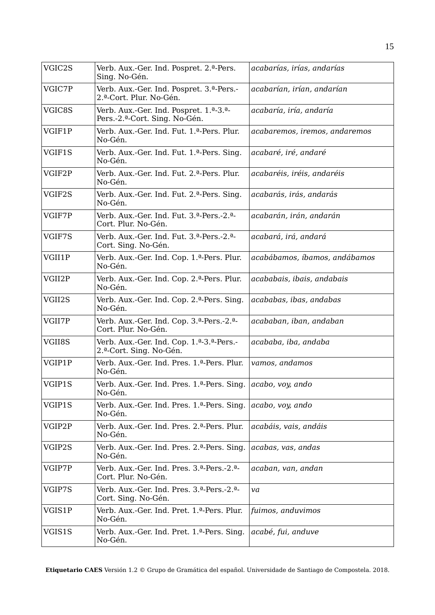| VGIC2S | Verb. Aux.-Ger. Ind. Pospret. 2.ª-Pers.<br>Sing. No-Gén.                                                   | acabarías, irías, andarías    |
|--------|------------------------------------------------------------------------------------------------------------|-------------------------------|
| VGIC7P | Verb. Aux.-Ger. Ind. Pospret. 3.ª-Pers.-<br>2.ª-Cort. Plur. No-Gén.                                        | acabarían, irían, andarían    |
| VGIC8S | Verb. Aux.-Ger. Ind. Pospret. 1.ª-3.ª-<br>Pers.-2. <sup>a</sup> -Cort. Sing. No-Gén.                       | acabaría, iría, andaría       |
| VGIF1P | Verb. Aux.-Ger. Ind. Fut. 1.ª-Pers. Plur.<br>No-Gén.                                                       | acabaremos, iremos, andaremos |
| VGIF1S | Verb. Aux.-Ger. Ind. Fut. 1. <sup>a</sup> -Pers. Sing.<br>No-Gén.                                          | acabaré, iré, andaré          |
| VGIF2P | Verb. Aux.-Ger. Ind. Fut. 2.ª-Pers. Plur.<br>No-Gén.                                                       | acabaréis, iréis, andaréis    |
| VGIF2S | Verb. Aux.-Ger. Ind. Fut. 2.ª-Pers. Sing.<br>No-Gén.                                                       | acabarás, irás, andarás       |
| VGIF7P | Verb. Aux.-Ger. Ind. Fut. 3.ª-Pers.-2.ª-<br>Cort. Plur. No-Gén.                                            | acabarán, irán, andarán       |
| VGIF7S | Verb. Aux.-Ger. Ind. Fut. 3.ª-Pers.-2.ª-<br>Cort. Sing. No-Gén.                                            | acabará, irá, andará          |
| VGII1P | Verb. Aux.-Ger. Ind. Cop. 1.ª-Pers. Plur.<br>No-Gén.                                                       | acabábamos, íbamos, andábamos |
| VGII2P | Verb. Aux.-Ger. Ind. Cop. 2.ª-Pers. Plur.<br>No-Gén.                                                       | acababais, ibais, andabais    |
| VGII2S | Verb. Aux.-Ger. Ind. Cop. 2.ª-Pers. Sing.<br>No-Gén.                                                       | acababas, ibas, andabas       |
| VGII7P | Verb. Aux.-Ger. Ind. Cop. 3. <sup>a</sup> -Pers.-2. <sup>a</sup> -<br>Cort. Plur. No-Gén.                  | acababan, iban, andaban       |
| VGII8S | Verb. Aux.-Ger. Ind. Cop. 1. <sup>a</sup> -3. <sup>a</sup> -Pers.-<br>2. <sup>a</sup> -Cort. Sing. No-Gén. | acababa, iba, andaba          |
| VGIP1P | Verb. Aux.-Ger. Ind. Pres. 1.ª-Pers. Plur.<br>No-Gén.                                                      | vamos, andamos                |
| VGIP1S | Verb. Aux.-Ger. Ind. Pres. 1.ª-Pers. Sing.<br>No-Gén.                                                      | acabo, voy, ando              |
| VGIP1S | Verb. Aux.-Ger. Ind. Pres. 1.ª-Pers. Sing.<br>No-Gén.                                                      | acabo, voy, ando              |
| VGIP2P | Verb. Aux.-Ger. Ind. Pres. 2.ª-Pers. Plur.<br>No-Gén.                                                      | acabáis, vais, andáis         |
| VGIP2S | Verb. Aux.-Ger. Ind. Pres. 2.ª-Pers. Sing.<br>No-Gén.                                                      | acabas, vas, andas            |
| VGIP7P | Verb. Aux.-Ger. Ind. Pres. 3.ª-Pers.-2.ª-<br>Cort. Plur. No-Gén.                                           | acaban, van, andan            |
| VGIP7S | Verb. Aux.-Ger. Ind. Pres. 3.ª-Pers.-2.ª-<br>Cort. Sing. No-Gén.                                           | va                            |
| VGIS1P | Verb. Aux.-Ger. Ind. Pret. 1.ª-Pers. Plur.<br>No-Gén.                                                      | fuimos, anduvimos             |
| VGIS1S | Verb. Aux.-Ger. Ind. Pret. 1.ª-Pers. Sing.<br>No-Gén.                                                      | acabé, fui, anduve            |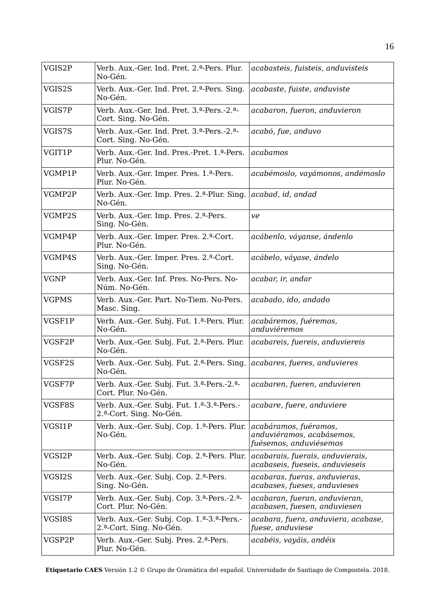| VGIS2P       | Verb. Aux.-Ger. Ind. Pret. 2.ª-Pers. Plur.<br>No-Gén.                                          | acabasteis, fuisteis, anduvisteis                                            |
|--------------|------------------------------------------------------------------------------------------------|------------------------------------------------------------------------------|
| VGIS2S       | Verb. Aux.-Ger. Ind. Pret. 2. <sup>a</sup> -Pers. Sing.<br>No-Gén.                             | acabaste, fuiste, anduviste                                                  |
| VGIS7P       | Verb. Aux.-Ger. Ind. Pret. 3.ª-Pers.-2.ª-<br>Cort. Sing. No-Gén.                               | acabaron, fueron, anduvieron                                                 |
| VGIS7S       | Verb. Aux.-Ger. Ind. Pret. 3.ª-Pers.-2.ª-<br>Cort. Sing. No-Gén.                               | acabó, fue, anduvo                                                           |
| VGIT1P       | Verb. Aux.-Ger. Ind. Pres.-Pret. 1.ª-Pers.<br>Plur. No-Gén.                                    | acabamos                                                                     |
| VGMP1P       | Verb. Aux.-Ger. Imper. Pres. 1.ª-Pers.<br>Plur. No-Gén.                                        | acabémoslo, vayámonos, andémoslo                                             |
| VGMP2P       | Verb. Aux.-Ger. Imp. Pres. 2.ª-Plur. Sing.<br>No-Gén.                                          | acabad, id, andad                                                            |
| VGMP2S       | Verb. Aux.-Ger. Imp. Pres. 2.ª-Pers.<br>Sing. No-Gén.                                          | ve                                                                           |
| VGMP4P       | Verb. Aux.-Ger. Imper. Pres. 2.ª-Cort.<br>Plur. No-Gén.                                        | acábenlo, váyanse, ándenlo                                                   |
| VGMP4S       | Verb. Aux.-Ger. Imper. Pres. 2.ª-Cort.<br>Sing. No-Gén.                                        | acábelo, váyase, ándelo                                                      |
| <b>VGNP</b>  | Verb. Aux.-Ger. Inf. Pres. No-Pers. No-<br>Núm. No-Gén.                                        | acabar, ir, andar                                                            |
| <b>VGPMS</b> | Verb. Aux.-Ger. Part. No-Tiem. No-Pers.<br>Masc. Sing.                                         | acabado, ido, andado                                                         |
| VGSF1P       | Verb. Aux.-Ger. Subj. Fut. 1.ª-Pers. Plur.<br>No-Gén.                                          | acabáremos, fuéremos,<br>anduviéremos                                        |
| VGSF2P       | Verb. Aux.-Ger. Subj. Fut. 2. <sup>a</sup> -Pers. Plur.<br>No-Gén.                             | acabareis, fuereis, anduviereis                                              |
| VGSF2S       | Verb. Aux.-Ger. Subj. Fut. 2. <sup>a</sup> -Pers. Sing.<br>No-Gén.                             | acabares, fueres, anduvieres                                                 |
| VGSF7P       | Verb. Aux.-Ger. Subj. Fut. 3.ª-Pers.-2.ª-<br>Cort. Plur. No-Gén.                               | acabaren, fueren, anduvieren                                                 |
| VGSF8S       | Verb. Aux.-Ger. Subj. Fut. 1.ª-3.ª-Pers.-<br>2.ª-Cort. Sing. No-Gén.                           | acabare, fuere, anduviere                                                    |
| VGSI1P       | Verb. Aux.-Ger. Subj. Cop. 1. <sup>a</sup> -Pers. Plur.<br>No-Gén.                             | acabáramos, fuéramos,<br>anduviéramos, acabásemos,<br>fuésemos, anduviésemos |
| VGSI2P       | Verb. Aux.-Ger. Subj. Cop. 2. <sup>a</sup> -Pers. Plur.<br>No-Gén.                             | acabarais, fuerais, anduvierais,<br>acabaseis, fueseis, anduvieseis          |
| VGSI2S       | Verb. Aux.-Ger. Subj. Cop. 2.ª-Pers.<br>Sing. No-Gén.                                          | acabaras, fueras, anduvieras,<br>acabases, fueses, anduvieses                |
| VGSI7P       | Verb. Aux.-Ger. Subj. Cop. 3. <sup>a</sup> -Pers.-2. <sup>a</sup> -<br>Cort. Plur. No-Gén.     | acabaran, fueran, anduvieran,<br>acabasen, fuesen, anduviesen                |
| VGSI8S       | Verb. Aux.-Ger. Subj. Cop. 1. <sup>a</sup> -3. <sup>a</sup> -Pers.-<br>2.ª-Cort. Sing. No-Gén. | acabara, fuera, anduviera, acabase,<br>fuese, anduviese                      |
| VGSP2P       | Verb. Aux.-Ger. Subj. Pres. 2.ª-Pers.<br>Plur. No-Gén.                                         | acabéis, vayáis, andéis                                                      |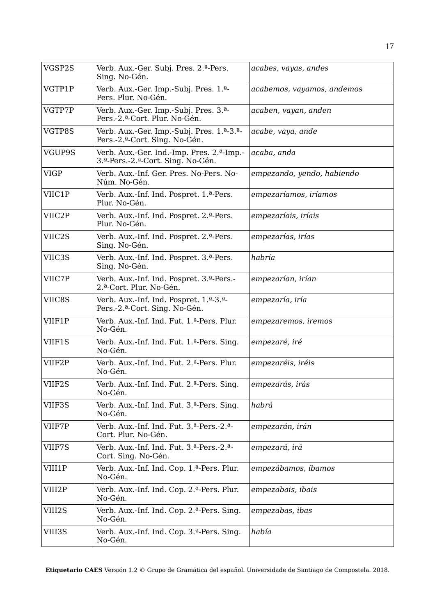| VGSP2S      | Verb. Aux.-Ger. Subj. Pres. 2.ª-Pers.<br>Sing. No-Gén.                              | acabes, vayas, andes       |
|-------------|-------------------------------------------------------------------------------------|----------------------------|
| VGTP1P      | Verb. Aux.-Ger. Imp.-Subj. Pres. 1.ª-<br>Pers. Plur. No-Gén.                        | acabemos, vayamos, andemos |
| VGTP7P      | Verb. Aux.-Ger. Imp.-Subj. Pres. 3. <sup>a</sup> -<br>Pers.-2.ª-Cort. Plur. No-Gén. | acaben, vayan, anden       |
| VGTP8S      | Verb. Aux.-Ger. Imp.-Subj. Pres. 1.ª-3.ª-<br>Pers.-2.ª-Cort. Sing. No-Gén.          | acabe, vaya, ande          |
| VGUP9S      | Verb. Aux.-Ger. Ind.-Imp. Pres. 2.ª-Imp.-<br>3.ª-Pers.-2.ª-Cort. Sing. No-Gén.      | acaba, anda                |
| <b>VIGP</b> | Verb. Aux.-Inf. Ger. Pres. No-Pers. No-<br>Núm. No-Gén.                             | empezando, yendo, habiendo |
| VIIC1P      | Verb. Aux.-Inf. Ind. Pospret. 1.ª-Pers.<br>Plur. No-Gén.                            | empezaríamos, iríamos      |
| VIIC2P      | Verb. Aux.-Inf. Ind. Pospret. 2.ª-Pers.<br>Plur. No-Gén.                            | empezaríais, iríais        |
| VIIC2S      | Verb. Aux.-Inf. Ind. Pospret. 2.ª-Pers.<br>Sing. No-Gén.                            | empezarías, irías          |
| VIIC3S      | Verb. Aux.-Inf. Ind. Pospret. 3.ª-Pers.<br>Sing. No-Gén.                            | habría                     |
| VIIC7P      | Verb. Aux.-Inf. Ind. Pospret. 3.ª-Pers.-<br>2.ª-Cort. Plur. No-Gén.                 | empezarían, irían          |
| VIIC8S      | Verb. Aux.-Inf. Ind. Pospret. 1.ª-3.ª-<br>Pers.-2.ª-Cort. Sing. No-Gén.             | empezaría, iría            |
| VIIF1P      | Verb. Aux.-Inf. Ind. Fut. 1.ª-Pers. Plur.<br>No-Gén.                                | empezaremos, iremos        |
| VIIF1S      | Verb. Aux.-Inf. Ind. Fut. 1. <sup>a</sup> -Pers. Sing.<br>No-Gén.                   | empezaré, iré              |
| VIIF2P      | Verb. Aux.-Inf. Ind. Fut. 2.ª-Pers. Plur.<br>No-Gén.                                | empezaréis, iréis          |
| VIIF2S      | Verb. Aux.-Inf. Ind. Fut. 2. <sup>a</sup> -Pers. Sing.<br>No-Gén.                   | empezarás, irás            |
| VIIF3S      | Verb. Aux.-Inf. Ind. Fut. 3.ª-Pers. Sing.<br>No-Gén.                                | habrá                      |
| VIIF7P      | Verb. Aux.-Inf. Ind. Fut. 3.ª-Pers.-2.ª-<br>Cort. Plur. No-Gén.                     | empezarán, irán            |
| VIIF7S      | Verb. Aux.-Inf. Ind. Fut. 3.ª-Pers.-2.ª-<br>Cort. Sing. No-Gén.                     | empezará, irá              |
| VIII1P      | Verb. Aux.-Inf. Ind. Cop. 1.ª-Pers. Plur.<br>No-Gén.                                | empezábamos, íbamos        |
| VIII2P      | Verb. Aux.-Inf. Ind. Cop. 2.ª-Pers. Plur.<br>No-Gén.                                | empezabais, ibais          |
| VIII2S      | Verb. Aux.-Inf. Ind. Cop. 2. <sup>a</sup> -Pers. Sing.<br>No-Gén.                   | empezabas, ibas            |
| VIII3S      | Verb. Aux.-Inf. Ind. Cop. 3. <sup>a</sup> -Pers. Sing.<br>No-Gén.                   | había                      |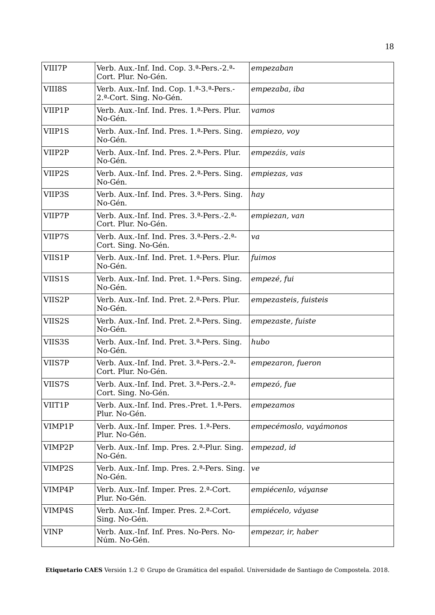| VIII7P      | Verb. Aux.-Inf. Ind. Cop. 3. <sup>a</sup> -Pers.-2. <sup>a</sup> -<br>Cort. Plur. No-Gén.     | empezaban              |
|-------------|-----------------------------------------------------------------------------------------------|------------------------|
| VIII8S      | Verb. Aux.-Inf. Ind. Cop. 1. <sup>a</sup> -3. <sup>a</sup> -Pers.-<br>2.ª-Cort. Sing. No-Gén. | empezaba, iba          |
| VIIP1P      | Verb. Aux.-Inf. Ind. Pres. 1. <sup>a</sup> -Pers. Plur.<br>No-Gén.                            | vamos                  |
| VIIP1S      | Verb. Aux.-Inf. Ind. Pres. 1. <sup>a</sup> -Pers. Sing.<br>No-Gén.                            | empiezo, voy           |
| VIIP2P      | Verb. Aux.-Inf. Ind. Pres. 2.ª-Pers. Plur.<br>No-Gén.                                         | empezáis, vais         |
| VIIP2S      | Verb. Aux.-Inf. Ind. Pres. 2. <sup>a</sup> -Pers. Sing.<br>No-Gén.                            | empiezas, vas          |
| VIIP3S      | Verb. Aux.-Inf. Ind. Pres. 3. <sup>a</sup> -Pers. Sing.<br>No-Gén.                            | hay                    |
| VIIP7P      | Verb. Aux.-Inf. Ind. Pres. 3. <sup>a</sup> -Pers.-2. <sup>a</sup> -<br>Cort. Plur. No-Gén.    | empiezan, van          |
| VIIP7S      | Verb. Aux.-Inf. Ind. Pres. 3.ª-Pers.-2.ª-<br>Cort. Sing. No-Gén.                              | va                     |
| VIIS1P      | Verb. Aux.-Inf. Ind. Pret. 1.ª-Pers. Plur.<br>No-Gén.                                         | fuimos                 |
| VIIS1S      | Verb. Aux.-Inf. Ind. Pret. 1.ª-Pers. Sing.<br>No-Gén.                                         | empezé, fui            |
| VIIS2P      | Verb. Aux.-Inf. Ind. Pret. 2.ª-Pers. Plur.<br>No-Gén.                                         | empezasteis, fuisteis  |
| VIIS2S      | Verb. Aux.-Inf. Ind. Pret. 2. <sup>a</sup> -Pers. Sing.<br>No-Gén.                            | empezaste, fuiste      |
| VIIS3S      | Verb. Aux.-Inf. Ind. Pret. 3. <sup>a</sup> -Pers. Sing.<br>No-Gén.                            | hubo                   |
| VIIS7P      | Verb. Aux.-Inf. Ind. Pret. 3.ª-Pers.-2.ª-<br>Cort. Plur. No-Gén.                              | empezaron, fueron      |
| VIIS7S      | Verb. Aux.-Inf. Ind. Pret. 3.ª-Pers.-2.ª-<br>Cort. Sing. No-Gén.                              | empezó, fue            |
| VIIT1P      | Verb. Aux.-Inf. Ind. Pres.-Pret. 1.ª-Pers.<br>Plur. No-Gén.                                   | empezamos              |
| VIMP1P      | Verb. Aux.-Inf. Imper. Pres. 1.ª-Pers.<br>Plur. No-Gén.                                       | empecémoslo, vayámonos |
| VIMP2P      | Verb. Aux.-Inf. Imp. Pres. 2. <sup>a</sup> -Plur. Sing.<br>No-Gén.                            | empezad, id            |
| VIMP2S      | Verb. Aux.-Inf. Imp. Pres. 2. <sup>a</sup> -Pers. Sing.<br>No-Gén.                            | ve                     |
| VIMP4P      | Verb. Aux.-Inf. Imper. Pres. 2.ª-Cort.<br>Plur. No-Gén.                                       | empiécenlo, váyanse    |
| VIMP4S      | Verb. Aux.-Inf. Imper. Pres. 2.ª-Cort.<br>Sing. No-Gén.                                       | empiécelo, váyase      |
| <b>VINP</b> | Verb. Aux.-Inf. Inf. Pres. No-Pers. No-<br>Núm. No-Gén.                                       | empezar, ir, haber     |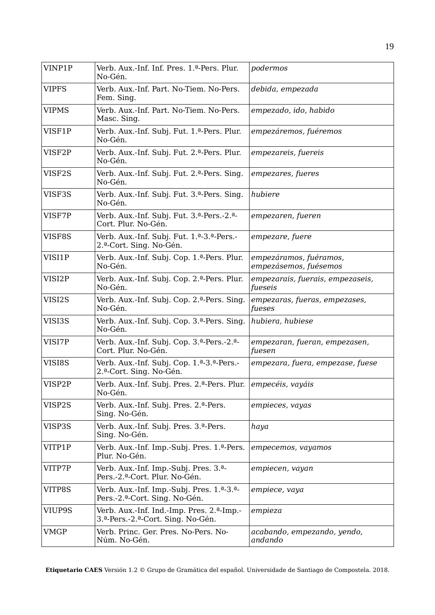| VINP1P       | Verb. Aux.-Inf. Inf. Pres. 1.ª-Pers. Plur.<br>No-Gén.                                                | podermos                                        |
|--------------|------------------------------------------------------------------------------------------------------|-------------------------------------------------|
| <b>VIPFS</b> | Verb. Aux.-Inf. Part. No-Tiem. No-Pers.<br>Fem. Sing.                                                | debida, empezada                                |
| <b>VIPMS</b> | Verb. Aux.-Inf. Part. No-Tiem. No-Pers.<br>Masc. Sing.                                               | empezado, ido, habido                           |
| VISF1P       | Verb. Aux.-Inf. Subj. Fut. 1.ª-Pers. Plur.<br>No-Gén.                                                | empezáremos, fuéremos                           |
| VISF2P       | Verb. Aux.-Inf. Subj. Fut. 2. <sup>a</sup> -Pers. Plur.<br>No-Gén.                                   | empezareis, fuereis                             |
| VISF2S       | Verb. Aux.-Inf. Subj. Fut. 2.ª-Pers. Sing.<br>No-Gén.                                                | empezares, fueres                               |
| VISF3S       | Verb. Aux.-Inf. Subj. Fut. 3. <sup>a</sup> -Pers. Sing.<br>No-Gén.                                   | hubiere                                         |
| VISF7P       | Verb. Aux.-Inf. Subj. Fut. 3.ª-Pers.-2.ª-<br>Cort. Plur. No-Gén.                                     | empezaren, fueren                               |
| VISF8S       | Verb. Aux.-Inf. Subj. Fut. 1. <sup>a</sup> -3. <sup>a</sup> -Pers.-<br>2.ª-Cort. Sing. No-Gén.       | empezare, fuere                                 |
| VISI1P       | Verb. Aux.-Inf. Subj. Cop. 1. <sup>a</sup> -Pers. Plur.<br>No-Gén.                                   | empezáramos, fuéramos,<br>empezásemos, fuésemos |
| VISI2P       | Verb. Aux.-Inf. Subj. Cop. 2. <sup>a</sup> -Pers. Plur.<br>No-Gén.                                   | empezarais, fuerais, empezaseis,<br>fueseis     |
| VISI2S       | Verb. Aux.-Inf. Subj. Cop. 2. <sup>a</sup> -Pers. Sing.<br>No-Gén.                                   | empezaras, fueras, empezases,<br>fueses         |
| VISI3S       | Verb. Aux.-Inf. Subj. Cop. 3. <sup>a</sup> -Pers. Sing.<br>No-Gén.                                   | hubiera, hubiese                                |
| VISI7P       | Verb. Aux.-Inf. Subj. Cop. 3. <sup>a</sup> -Pers.-2. <sup>a</sup> -<br>Cort. Plur. No-Gén.           | empezaran, fueran, empezasen,<br>fuesen         |
| VISI8S       | Verb. Aux.-Inf. Subj. Cop. 1. <sup>a</sup> -3. <sup>a</sup> -Pers.-<br>2.ª-Cort. Sing. No-Gén.       | empezara, fuera, empezase, fuese                |
| VISP2P       | Verb. Aux.-Inf. Subj. Pres. 2.ª-Pers. Plur.<br>No-Gén.                                               | empecéis, vayáis                                |
| VISP2S       | Verb. Aux.-Inf. Subj. Pres. 2.ª-Pers.<br>Sing. No-Gén.                                               | empieces, vayas                                 |
| VISP3S       | Verb. Aux.-Inf. Subj. Pres. 3.ª-Pers.<br>Sing. No-Gén.                                               | haya                                            |
| VITP1P       | Verb. Aux.-Inf. Imp.-Subj. Pres. 1. <sup>a</sup> -Pers.<br>Plur. No-Gén.                             | empecemos, vayamos                              |
| VITP7P       | Verb. Aux.-Inf. Imp.-Subj. Pres. 3. <sup>a</sup> -<br>Pers.-2.ª-Cort. Plur. No-Gén.                  | empiecen, vayan                                 |
| VITP8S       | Verb. Aux.-Inf. Imp.-Subj. Pres. 1. <sup>a</sup> -3. <sup>a</sup> -<br>Pers.-2.ª-Cort. Sing. No-Gén. | empiece, vaya                                   |
| VIUP9S       | Verb. Aux.-Inf. Ind.-Imp. Pres. 2. <sup>a</sup> -Imp.-<br>3.ª-Pers.-2.ª-Cort. Sing. No-Gén.          | empieza                                         |
| <b>VMGP</b>  | Verb. Princ. Ger. Pres. No-Pers. No-<br>Núm. No-Gén.                                                 | acabando, empezando, yendo,<br>andando          |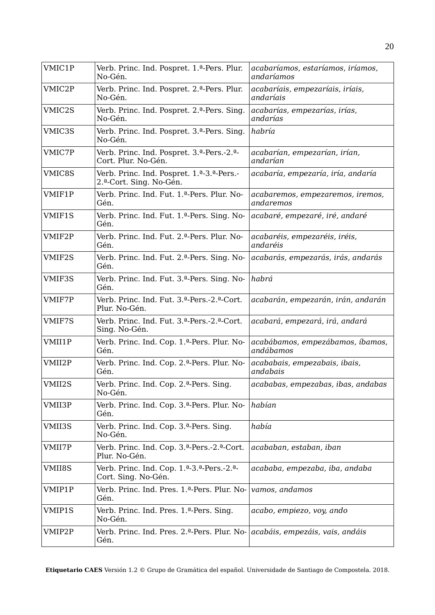| VMIC1P | Verb. Princ. Ind. Pospret. 1.ª-Pers. Plur.<br>No-Gén.                                                   | acabaríamos, estaríamos, iríamos,<br>andaríamos |
|--------|---------------------------------------------------------------------------------------------------------|-------------------------------------------------|
| VMIC2P | Verb. Princ. Ind. Pospret. 2.ª-Pers. Plur.<br>No-Gén.                                                   | acabaríais, empezaríais, iríais,<br>andaríais   |
| VMIC2S | Verb. Princ. Ind. Pospret. 2. <sup>a</sup> -Pers. Sing.<br>No-Gén.                                      | acabarías, empezarías, irías,<br>andarías       |
| VMIC3S | Verb. Princ. Ind. Pospret. 3.ª-Pers. Sing.<br>No-Gén.                                                   | habría                                          |
| VMIC7P | Verb. Princ. Ind. Pospret. 3.ª-Pers.-2.ª-<br>Cort. Plur. No-Gén.                                        | acabarían, empezarían, irían,<br>andarían       |
| VMIC8S | Verb. Princ. Ind. Pospret. 1. <sup>a</sup> -3. <sup>a</sup> -Pers.-<br>2.ª-Cort. Sing. No-Gén.          | acabaría, empezaría, iría, andaría              |
| VMIF1P | Verb. Princ. Ind. Fut. 1.ª-Pers. Plur. No-<br>Gén.                                                      | acabaremos, empezaremos, iremos,<br>andaremos   |
| VMIF1S | Verb. Princ. Ind. Fut. 1.ª-Pers. Sing. No-<br>Gén.                                                      | acabaré, empezaré, iré, andaré                  |
| VMIF2P | Verb. Princ. Ind. Fut. 2. <sup>a</sup> -Pers. Plur. No-<br>Gén.                                         | acabaréis, empezaréis, iréis,<br>andaréis       |
| VMIF2S | Verb. Princ. Ind. Fut. 2. <sup>a</sup> -Pers. Sing. No-<br>Gén.                                         | acabarás, empezarás, irás, andarás              |
| VMIF3S | Verb. Princ. Ind. Fut. 3. <sup>a</sup> -Pers. Sing. No-<br>Gén.                                         | habrá                                           |
| VMIF7P | Verb. Princ. Ind. Fut. 3. <sup>a</sup> -Pers.-2. <sup>a</sup> -Cort.<br>Plur. No-Gén.                   | acabarán, empezarán, irán, andarán              |
| VMIF7S | Verb. Princ. Ind. Fut. 3.ª-Pers.-2.ª-Cort.<br>Sing. No-Gén.                                             | acabará, empezará, irá, andará                  |
| VMII1P | Verb. Princ. Ind. Cop. 1. <sup>a</sup> -Pers. Plur. No-<br>Gén.                                         | acabábamos, empezábamos, íbamos,<br>andábamos   |
| VMII2P | Verb. Princ. Ind. Cop. 2.ª-Pers. Plur. No-<br>Gén.                                                      | acababais, empezabais, ibais,<br>andabais       |
| VMII2S | Verb. Princ. Ind. Cop. 2. <sup>a</sup> -Pers. Sing.<br>No-Gén.                                          | acababas, empezabas, ibas, andabas              |
| VMII3P | Verb. Princ. Ind. Cop. 3. <sup>a</sup> -Pers. Plur. No-<br>Gén.                                         | habían                                          |
| VMII3S | Verb. Princ. Ind. Cop. 3. <sup>a</sup> -Pers. Sing.<br>No-Gén.                                          | había                                           |
| VMII7P | Verb. Princ. Ind. Cop. 3. <sup>a</sup> -Pers.-2. <sup>a</sup> -Cort.<br>Plur. No-Gén.                   | acababan, estaban, iban                         |
| VMII8S | Verb. Princ. Ind. Cop. 1. <sup>a</sup> -3. <sup>a</sup> -Pers.-2. <sup>a</sup> -<br>Cort. Sing. No-Gén. | acababa, empezaba, iba, andaba                  |
| VMIP1P | Verb. Princ. Ind. Pres. 1.ª-Pers. Plur. No-<br>Gén.                                                     | vamos, andamos                                  |
| VMIP1S | Verb. Princ. Ind. Pres. 1. <sup>a</sup> -Pers. Sing.<br>No-Gén.                                         | acabo, empiezo, voy, ando                       |
| VMIP2P | Verb. Princ. Ind. Pres. 2.ª-Pers. Plur. No-<br>Gén.                                                     | acabáis, empezáis, vais, andáis                 |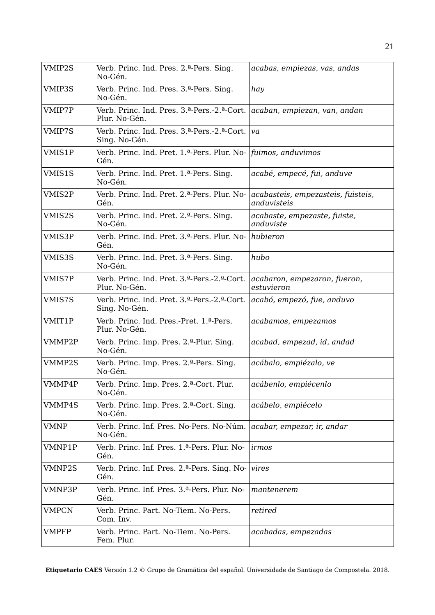| VMIP2S       | Verb. Princ. Ind. Pres. 2. <sup>a</sup> -Pers. Sing.<br>No-Gén.                        | acabas, empiezas, vas, andas                      |
|--------------|----------------------------------------------------------------------------------------|---------------------------------------------------|
| VMIP3S       | Verb. Princ. Ind. Pres. 3. <sup>a</sup> -Pers. Sing.<br>No-Gén.                        | hay                                               |
| VMIP7P       | Verb. Princ. Ind. Pres. 3.ª-Pers.-2.ª-Cort.<br>Plur. No-Gén.                           | acaban, empiezan, van, andan                      |
| VMIP7S       | Verb. Princ. Ind. Pres. 3. <sup>a</sup> -Pers.-2. <sup>a</sup> -Cort.<br>Sing. No-Gén. | va                                                |
| VMIS1P       | Verb. Princ. Ind. Pret. 1.ª-Pers. Plur. No-<br>Gén.                                    | fuimos, anduvimos                                 |
| VMIS1S       | Verb. Princ. Ind. Pret. 1.ª-Pers. Sing.<br>No-Gén.                                     | acabé, empecé, fui, anduve                        |
| VMIS2P       | Verb. Princ. Ind. Pret. 2. <sup>a</sup> -Pers. Plur. No-<br>Gén.                       | acabasteis, empezasteis, fuisteis,<br>anduvisteis |
| VMIS2S       | Verb. Princ. Ind. Pret. 2. <sup>a</sup> -Pers. Sing.<br>No-Gén.                        | acabaste, empezaste, fuiste,<br>anduviste         |
| VMIS3P       | Verb. Princ. Ind. Pret. 3.ª-Pers. Plur. No-<br>Gén.                                    | hubieron                                          |
| VMIS3S       | Verb. Princ. Ind. Pret. 3.ª-Pers. Sing.<br>No-Gén.                                     | hubo                                              |
| VMIS7P       | Verb. Princ. Ind. Pret. 3.ª-Pers.-2.ª-Cort.<br>Plur. No-Gén.                           | acabaron, empezaron, fueron,<br>estuvieron        |
| VMIS7S       | Verb. Princ. Ind. Pret. 3.ª-Pers.-2.ª-Cort.<br>Sing. No-Gén.                           | acabó, empezó, fue, anduvo                        |
| VMIT1P       | Verb. Princ. Ind. Pres.-Pret. 1.ª-Pers.<br>Plur. No-Gén.                               | acabamos, empezamos                               |
| VMMP2P       | Verb. Princ. Imp. Pres. 2. <sup>a</sup> -Plur. Sing.<br>No-Gén.                        | acabad, empezad, id, andad                        |
| VMMP2S       | Verb. Princ. Imp. Pres. 2. <sup>a</sup> -Pers. Sing.<br>No-Gén.                        | acábalo, empiézalo, ve                            |
| VMMP4P       | Verb. Princ. Imp. Pres. 2. <sup>a</sup> -Cort. Plur.<br>No-Gén.                        | acábenlo, empiécenlo                              |
| VMMP4S       | Verb. Princ. Imp. Pres. 2. <sup>a</sup> -Cort. Sing.<br>No-Gén.                        | acábelo, empiécelo                                |
| <b>VMNP</b>  | Verb. Princ. Inf. Pres. No-Pers. No-Núm.<br>No-Gén.                                    | acabar, empezar, ir, andar                        |
| VMNP1P       | Verb. Princ. Inf. Pres. 1.ª-Pers. Plur. No-<br>Gén.                                    | irmos                                             |
| VMNP2S       | Verb. Princ. Inf. Pres. 2. <sup>a</sup> -Pers. Sing. No-<br>Gén.                       | vires                                             |
| VMNP3P       | Verb. Princ. Inf. Pres. 3.ª-Pers. Plur. No-<br>Gén.                                    | mantenerem                                        |
| <b>VMPCN</b> | Verb. Princ. Part. No-Tiem. No-Pers.<br>Com. Inv.                                      | retired                                           |
| <b>VMPFP</b> | Verb. Princ. Part. No-Tiem. No-Pers.<br>Fem. Plur.                                     | acabadas, empezadas                               |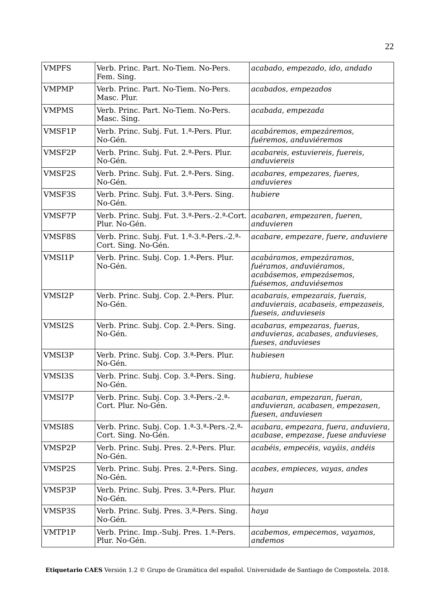| <b>VMPFS</b> | Verb. Princ. Part. No-Tiem. No-Pers.<br>Fem. Sing.                | acabado, empezado, ido, andado                                                                            |
|--------------|-------------------------------------------------------------------|-----------------------------------------------------------------------------------------------------------|
| <b>VMPMP</b> | Verb. Princ. Part. No-Tiem. No-Pers.<br>Masc. Plur.               | acabados, empezados                                                                                       |
| <b>VMPMS</b> | Verb. Princ. Part. No-Tiem. No-Pers.<br>Masc. Sing.               | acabada, empezada                                                                                         |
| VMSF1P       | Verb. Princ. Subj. Fut. 1.ª-Pers. Plur.<br>No-Gén.                | acabáremos, empezáremos,<br>fuéremos, anduviéremos                                                        |
| VMSF2P       | Verb. Princ. Subj. Fut. 2.ª-Pers. Plur.<br>No-Gén.                | acabareis, estuviereis, fuereis,<br>anduviereis                                                           |
| VMSF2S       | Verb. Princ. Subj. Fut. 2. <sup>a</sup> -Pers. Sing.<br>No-Gén.   | acabares, empezares, fueres,<br>anduvieres                                                                |
| VMSF3S       | Verb. Princ. Subj. Fut. 3.ª-Pers. Sing.<br>No-Gén.                | hubiere                                                                                                   |
| VMSF7P       | Verb. Princ. Subj. Fut. 3.ª-Pers.-2.ª-Cort.<br>Plur. No-Gén.      | acabaren, empezaren, fueren,<br>anduvieren                                                                |
| VMSF8S       | Verb. Princ. Subj. Fut. 1.ª-3.ª-Pers.-2.ª-<br>Cort. Sing. No-Gén. | acabare, empezare, fuere, anduviere                                                                       |
| VMSI1P       | Verb. Princ. Subj. Cop. 1.ª-Pers. Plur.<br>No-Gén.                | acabáramos, empezáramos,<br>fuéramos, anduviéramos,<br>acabásemos, empezásemos,<br>fuésemos, anduviésemos |
| VMSI2P       | Verb. Princ. Subj. Cop. 2.ª-Pers. Plur.<br>No-Gén.                | acabarais, empezarais, fuerais,<br>anduvierais, acabaseis, empezaseis,<br>fueseis, anduvieseis            |
| VMSI2S       | Verb. Princ. Subj. Cop. 2. <sup>a</sup> -Pers. Sing.<br>No-Gén.   | acabaras, empezaras, fueras,<br>anduvieras, acabases, anduvieses,<br>fueses, anduvieses                   |
| VMSI3P       | Verb. Princ. Subj. Cop. 3.ª-Pers. Plur.<br>No-Gén.                | hubiesen                                                                                                  |
| VMSI3S       | Verb. Princ. Subj. Cop. 3. <sup>a</sup> -Pers. Sing.<br>No-Gén.   | hubiera, hubiese                                                                                          |
| VMSI7P       | Verb. Princ. Subj. Cop. 3.ª-Pers.-2.ª-<br>Cort. Plur. No-Gén.     | acabaran, empezaran, fueran,<br>anduvieran, acabasen, empezasen,<br>fuesen, anduviesen                    |
| VMSI8S       | Verb. Princ. Subj. Cop. 1.ª-3.ª-Pers.-2.ª-<br>Cort. Sing. No-Gén. | acabara, empezara, fuera, anduviera,<br>acabase, empezase, fuese anduviese                                |
| VMSP2P       | Verb. Princ. Subj. Pres. 2.ª-Pers. Plur.<br>No-Gén.               | acabéis, empecéis, vayáis, andéis                                                                         |
| VMSP2S       | Verb. Princ. Subj. Pres. 2.ª-Pers. Sing.<br>No-Gén.               | acabes, empieces, vayas, andes                                                                            |
| VMSP3P       | Verb. Princ. Subj. Pres. 3.ª-Pers. Plur.<br>No-Gén.               | hayan                                                                                                     |
| VMSP3S       | Verb. Princ. Subj. Pres. 3.ª-Pers. Sing.<br>No-Gén.               | haya                                                                                                      |
| VMTP1P       | Verb. Princ. Imp.-Subj. Pres. 1.ª-Pers.<br>Plur. No-Gén.          | acabemos, empecemos, vayamos,<br>andemos                                                                  |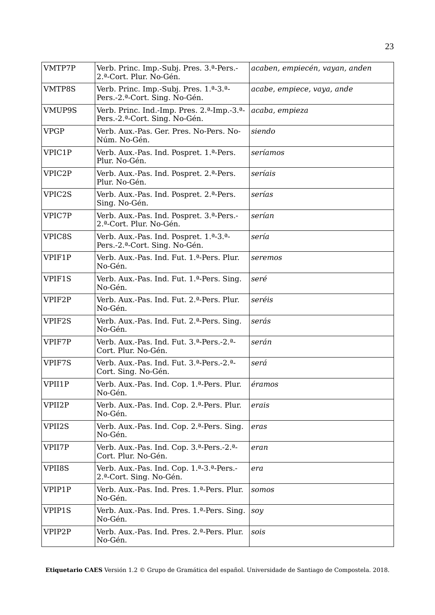| VMTP7P      | Verb. Princ. Imp.-Subj. Pres. 3. <sup>a</sup> -Pers.-<br>2.ª-Cort. Plur. No-Gén.                      | acaben, empiecén, vayan, anden |
|-------------|-------------------------------------------------------------------------------------------------------|--------------------------------|
| VMTP8S      | Verb. Princ. Imp.-Subj. Pres. 1.ª-3.ª-<br>Pers.-2.ª-Cort. Sing. No-Gén.                               | acabe, empiece, vaya, ande     |
| VMUP9S      | Verb. Princ. Ind.-Imp. Pres. 2. <sup>a</sup> -Imp.-3. <sup>a</sup> -<br>Pers.-2.ª-Cort. Sing. No-Gén. | acaba, empieza                 |
| <b>VPGP</b> | Verb. Aux.-Pas. Ger. Pres. No-Pers. No-<br>Núm. No-Gén.                                               | siendo                         |
| VPIC1P      | Verb. Aux.-Pas. Ind. Pospret. 1.ª-Pers.<br>Plur. No-Gén.                                              | seríamos                       |
| VPIC2P      | Verb. Aux.-Pas. Ind. Pospret. 2.ª-Pers.<br>Plur. No-Gén.                                              | seríais                        |
| VPIC2S      | Verb. Aux.-Pas. Ind. Pospret. 2.ª-Pers.<br>Sing. No-Gén.                                              | serías                         |
| VPIC7P      | Verb. Aux.-Pas. Ind. Pospret. 3.ª-Pers.-<br>2.ª-Cort. Plur. No-Gén.                                   | serían                         |
| VPIC8S      | Verb. Aux.-Pas. Ind. Pospret. 1.ª-3.ª-<br>Pers.-2.ª-Cort. Sing. No-Gén.                               | sería                          |
| VPIF1P      | Verb. Aux.-Pas. Ind. Fut. 1.ª-Pers. Plur.<br>No-Gén.                                                  | seremos                        |
| VPIF1S      | Verb. Aux.-Pas. Ind. Fut. 1. <sup>a</sup> -Pers. Sing.<br>No-Gén.                                     | seré                           |
| VPIF2P      | Verb. Aux.-Pas. Ind. Fut. 2.ª-Pers. Plur.<br>No-Gén.                                                  | seréis                         |
| VPIF2S      | Verb. Aux.-Pas. Ind. Fut. 2. <sup>a</sup> -Pers. Sing.<br>No-Gén.                                     | serás                          |
| VPIF7P      | Verb. Aux.-Pas. Ind. Fut. 3.ª-Pers.-2.ª-<br>Cort. Plur. No-Gén.                                       | serán                          |
| VPIF7S      | Verb. Aux.-Pas. Ind. Fut. 3. <sup>a</sup> -Pers.-2. <sup>a</sup> -<br>Cort. Sing. No-Gén.             | será                           |
| VPII1P      | Verb. Aux.-Pas. Ind. Cop. 1.ª-Pers. Plur.<br>No-Gén.                                                  | éramos                         |
| VPII2P      | Verb. Aux.-Pas. Ind. Cop. 2. <sup>a</sup> -Pers. Plur.<br>No-Gén.                                     | erais                          |
| VPII2S      | Verb. Aux.-Pas. Ind. Cop. 2. <sup>a</sup> -Pers. Sing.<br>No-Gén.                                     | eras                           |
| VPII7P      | Verb. Aux.-Pas. Ind. Cop. 3.ª-Pers.-2.ª-<br>Cort. Plur. No-Gén.                                       | eran                           |
| VPII8S      | Verb. Aux.-Pas. Ind. Cop. 1. <sup>a</sup> -3. <sup>a</sup> -Pers.-<br>2.ª-Cort. Sing. No-Gén.         | era                            |
| VPIP1P      | Verb. Aux.-Pas. Ind. Pres. 1.ª-Pers. Plur.<br>No-Gén.                                                 | somos                          |
| VPIP1S      | Verb. Aux.-Pas. Ind. Pres. 1.ª-Pers. Sing.<br>No-Gén.                                                 | soy                            |
| VPIP2P      | Verb. Aux.-Pas. Ind. Pres. 2.ª-Pers. Plur.<br>No-Gén.                                                 | sois                           |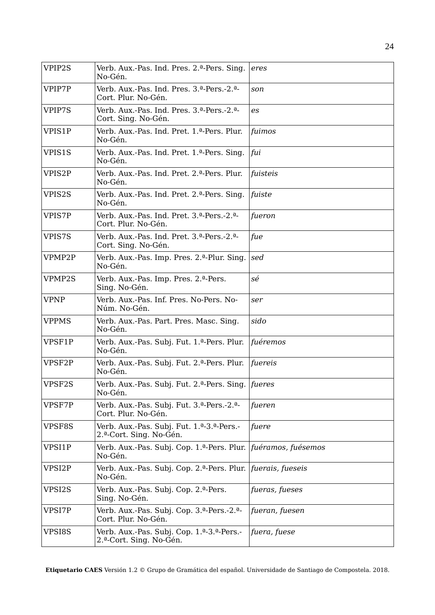| VPIP2S       | Verb. Aux.-Pas. Ind. Pres. 2. <sup>a</sup> -Pers. Sing.<br>No-Gén.                             | eres               |
|--------------|------------------------------------------------------------------------------------------------|--------------------|
| VPIP7P       | Verb. Aux.-Pas. Ind. Pres. 3.ª-Pers.-2.ª-<br>Cort. Plur. No-Gén.                               | son                |
| VPIP7S       | Verb. Aux.-Pas. Ind. Pres. 3.ª-Pers.-2.ª-<br>Cort. Sing. No-Gén.                               | es                 |
| VPIS1P       | Verb. Aux.-Pas. Ind. Pret. 1.ª-Pers. Plur.<br>No-Gén.                                          | fuimos             |
| VPIS1S       | Verb. Aux.-Pas. Ind. Pret. 1.ª-Pers. Sing.<br>No-Gén.                                          | fui                |
| VPIS2P       | Verb. Aux.-Pas. Ind. Pret. 2.ª-Pers. Plur.<br>No-Gén.                                          | fuisteis           |
| VPIS2S       | Verb. Aux.-Pas. Ind. Pret. 2. <sup>a</sup> -Pers. Sing.<br>No-Gén.                             | fuiste             |
| VPIS7P       | Verb. Aux.-Pas. Ind. Pret. 3. <sup>a</sup> -Pers.-2. <sup>a</sup> -<br>Cort. Plur. No-Gén.     | fueron             |
| VPIS7S       | Verb. Aux.-Pas. Ind. Pret. 3.ª-Pers.-2.ª-<br>Cort. Sing. No-Gén.                               | fue                |
| VPMP2P       | Verb. Aux.-Pas. Imp. Pres. 2. <sup>a</sup> -Plur. Sing.<br>No-Gén.                             | sed                |
| VPMP2S       | Verb. Aux.-Pas. Imp. Pres. 2.ª-Pers.<br>Sing. No-Gén.                                          | sé                 |
| <b>VPNP</b>  | Verb. Aux.-Pas. Inf. Pres. No-Pers. No-<br>Núm. No-Gén.                                        | ser                |
| <b>VPPMS</b> | Verb. Aux.-Pas. Part. Pres. Masc. Sing.<br>No-Gén.                                             | sido               |
| VPSF1P       | Verb. Aux.-Pas. Subj. Fut. 1.ª-Pers. Plur.<br>No-Gén.                                          | fuéremos           |
| VPSF2P       | Verb. Aux.-Pas. Subj. Fut. 2. <sup>a</sup> -Pers. Plur.<br>No-Gén.                             | fuereis            |
| VPSF2S       | Verb. Aux.-Pas. Subj. Fut. 2. <sup>a</sup> -Pers. Sing.<br>No-Gén.                             | fueres             |
| VPSF7P       | Verb. Aux.-Pas. Subj. Fut. 3.ª-Pers.-2.ª-<br>Cort. Plur. No-Gén.                               | fueren             |
| VPSF8S       | Verb. Aux.-Pas. Subj. Fut. 1.ª-3.ª-Pers.-<br>2.ª-Cort. Sing. No-Gén.                           | fuere              |
| VPSI1P       | Verb. Aux.-Pas. Subj. Cop. 1.ª-Pers. Plur.<br>No-Gén.                                          | fuéramos, fuésemos |
| VPSI2P       | Verb. Aux.-Pas. Subj. Cop. 2.ª-Pers. Plur.<br>No-Gén.                                          | fuerais, fueseis   |
| VPSI2S       | Verb. Aux.-Pas. Subj. Cop. 2.ª-Pers.<br>Sing. No-Gén.                                          | fueras, fueses     |
| VPSI7P       | Verb. Aux.-Pas. Subj. Cop. 3. <sup>a</sup> -Pers.-2. <sup>a</sup> -<br>Cort. Plur. No-Gén.     | fueran, fuesen     |
| VPSI8S       | Verb. Aux.-Pas. Subj. Cop. 1. <sup>a</sup> -3. <sup>a</sup> -Pers.-<br>2.ª-Cort. Sing. No-Gén. | fuera, fuese       |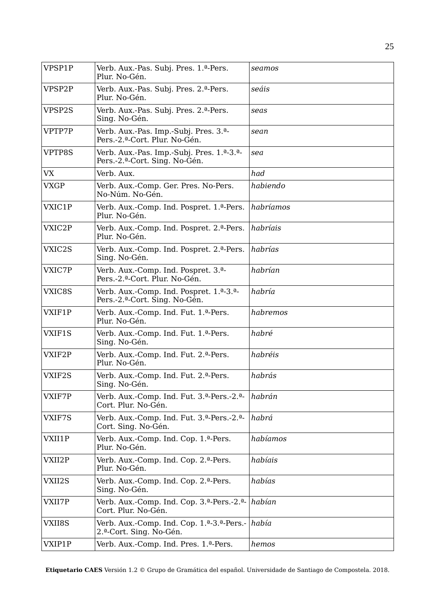| VPSP1P      | Verb. Aux.-Pas. Subj. Pres. 1.ª-Pers.<br>Plur. No-Gén.                                             | seamos    |
|-------------|----------------------------------------------------------------------------------------------------|-----------|
| VPSP2P      | Verb. Aux.-Pas. Subj. Pres. 2. <sup>a</sup> -Pers.<br>Plur. No-Gén.                                | seáis     |
| VPSP2S      | Verb. Aux.-Pas. Subj. Pres. 2.ª-Pers.<br>Sing. No-Gén.                                             | seas      |
| VPTP7P      | Verb. Aux.-Pas. Imp.-Subj. Pres. 3. <sup>a</sup> -<br>Pers.-2.ª-Cort. Plur. No-Gén.                | sean      |
| VPTP8S      | Verb. Aux.-Pas. Imp.-Subj. Pres. 1.ª-3.ª-<br>Pers.-2.ª-Cort. Sing. No-Gén.                         | sea       |
| VX          | Verb. Aux.                                                                                         | had       |
| <b>VXGP</b> | Verb. Aux.-Comp. Ger. Pres. No-Pers.<br>No-Núm. No-Gén.                                            | habiendo  |
| VXIC1P      | Verb. Aux.-Comp. Ind. Pospret. 1. <sup>a</sup> -Pers.<br>Plur. No-Gén.                             | habríamos |
| VXIC2P      | Verb. Aux.-Comp. Ind. Pospret. 2. <sup>a</sup> -Pers.<br>Plur. No-Gén.                             | habríais  |
| VXIC2S      | Verb. Aux.-Comp. Ind. Pospret. 2.ª-Pers.<br>Sing. No-Gén.                                          | habrías   |
| VXIC7P      | Verb. Aux.-Comp. Ind. Pospret. 3. <sup>a</sup> -<br>Pers.-2.ª-Cort. Plur. No-Gén.                  | habrían   |
| VXIC8S      | Verb. Aux.-Comp. Ind. Pospret. 1. <sup>a</sup> -3. <sup>a</sup> -<br>Pers.-2.ª-Cort. Sing. No-Gén. | habría    |
| VXIF1P      | Verb. Aux.-Comp. Ind. Fut. 1.ª-Pers.<br>Plur. No-Gén.                                              | habremos  |
| VXIF1S      | Verb. Aux.-Comp. Ind. Fut. 1.ª-Pers.<br>Sing. No-Gén.                                              | habré     |
| VXIF2P      | Verb. Aux.-Comp. Ind. Fut. 2.ª-Pers.<br>Plur. No-Gén.                                              | habréis   |
| VXIF2S      | Verb. Aux.-Comp. Ind. Fut. 2. <sup>a</sup> -Pers.<br>Sing. No-Gén.                                 | habrás    |
| VXIF7P      | Verb. Aux.-Comp. Ind. Fut. 3.ª-Pers.-2.ª-<br>Cort. Plur. No-Gén.                                   | habrán    |
| VXIF7S      | Verb. Aux.-Comp. Ind. Fut. 3.ª-Pers.-2.ª-<br>Cort. Sing. No-Gén.                                   | habrá     |
| VXII1P      | Verb. Aux.-Comp. Ind. Cop. 1. <sup>a</sup> -Pers.<br>Plur. No-Gén.                                 | habíamos  |
| VXII2P      | Verb. Aux.-Comp. Ind. Cop. 2. <sup>a</sup> -Pers.<br>Plur. No-Gén.                                 | habíais   |
| VXII2S      | Verb. Aux.-Comp. Ind. Cop. 2. <sup>a</sup> -Pers.<br>Sing. No-Gén.                                 | habías    |
| VXII7P      | Verb. Aux.-Comp. Ind. Cop. 3. <sup>a</sup> -Pers.-2. <sup>a</sup> -<br>Cort. Plur. No-Gén.         | habían    |
| VXII8S      | Verb. Aux.-Comp. Ind. Cop. 1. <sup>a</sup> -3. <sup>a</sup> -Pers.-<br>2.ª-Cort. Sing. No-Gén.     | había     |
| VXIP1P      | Verb. Aux.-Comp. Ind. Pres. 1.ª-Pers.                                                              | hemos     |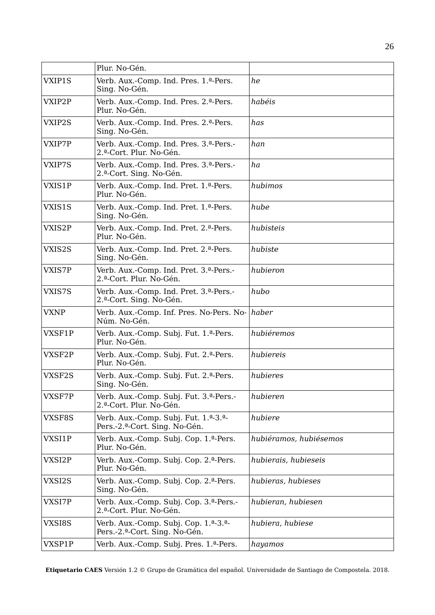|             | Plur. No-Gén.                                                                                   |                        |
|-------------|-------------------------------------------------------------------------------------------------|------------------------|
| VXIP1S      | Verb. Aux.-Comp. Ind. Pres. 1.ª-Pers.<br>Sing. No-Gén.                                          | he                     |
| VXIP2P      | Verb. Aux.-Comp. Ind. Pres. 2.ª-Pers.<br>Plur. No-Gén.                                          | habéis                 |
| VXIP2S      | Verb. Aux.-Comp. Ind. Pres. 2.ª-Pers.<br>Sing. No-Gén.                                          | has                    |
| VXIP7P      | Verb. Aux.-Comp. Ind. Pres. 3. <sup>a</sup> -Pers.-<br>2.ª-Cort. Plur. No-Gén.                  | han                    |
| VXIP7S      | Verb. Aux.-Comp. Ind. Pres. 3.ª-Pers.-<br>2.ª-Cort. Sing. No-Gén.                               | ha                     |
| VXIS1P      | Verb. Aux.-Comp. Ind. Pret. 1.ª-Pers.<br>Plur. No-Gén.                                          | hubimos                |
| VXIS1S      | Verb. Aux.-Comp. Ind. Pret. 1.ª-Pers.<br>Sing. No-Gén.                                          | hube                   |
| VXIS2P      | Verb. Aux.-Comp. Ind. Pret. 2. <sup>a</sup> -Pers.<br>Plur. No-Gén.                             | hubisteis              |
| VXIS2S      | Verb. Aux.-Comp. Ind. Pret. 2. <sup>a</sup> -Pers.<br>Sing. No-Gén.                             | hubiste                |
| VXIS7P      | Verb. Aux.-Comp. Ind. Pret. 3.ª-Pers.-<br>2.ª-Cort. Plur. No-Gén.                               | hubieron               |
| VXIS7S      | Verb. Aux.-Comp. Ind. Pret. 3. <sup>a</sup> -Pers.-<br>2.ª-Cort. Sing. No-Gén.                  | hubo                   |
| <b>VXNP</b> | Verb. Aux.-Comp. Inf. Pres. No-Pers. No-<br>Núm. No-Gén.                                        | haber                  |
| VXSF1P      | Verb. Aux.-Comp. Subj. Fut. 1.ª-Pers.<br>Plur. No-Gén.                                          | hubiéremos             |
| VXSF2P      | Verb. Aux.-Comp. Subj. Fut. 2.ª-Pers.<br>Plur. No-Gén.                                          | hubiereis              |
| VXSF2S      | Verb. Aux.-Comp. Subj. Fut. 2. <sup>a</sup> -Pers.<br>Sing. No-Gén.                             | hubieres               |
| VXSF7P      | Verb. Aux.-Comp. Subj. Fut. 3. <sup>a</sup> -Pers.-<br>2.ª-Cort. Plur. No-Gén.                  | hubieren               |
| VXSF8S      | Verb. Aux.-Comp. Subj. Fut. 1.ª-3.ª-<br>Pers.-2.ª-Cort. Sing. No-Gén.                           | hubiere                |
| VXSI1P      | Verb. Aux.-Comp. Subj. Cop. 1. <sup>a</sup> -Pers.<br>Plur. No-Gén.                             | hubiéramos, hubiésemos |
| VXSI2P      | Verb. Aux.-Comp. Subj. Cop. 2.ª-Pers.<br>Plur. No-Gén.                                          | hubierais, hubieseis   |
| VXSI2S      | Verb. Aux.-Comp. Subj. Cop. 2. <sup>a</sup> -Pers.<br>Sing. No-Gén.                             | hubieras, hubieses     |
| VXSI7P      | Verb. Aux.-Comp. Subj. Cop. 3. <sup>a</sup> -Pers.-<br>2.ª-Cort. Plur. No-Gén.                  | hubieran, hubiesen     |
| VXSI8S      | Verb. Aux.-Comp. Subj. Cop. 1. <sup>a</sup> -3. <sup>a</sup> -<br>Pers.-2.ª-Cort. Sing. No-Gén. | hubiera, hubiese       |
| VXSP1P      | Verb. Aux.-Comp. Subj. Pres. 1.ª-Pers.                                                          | hayamos                |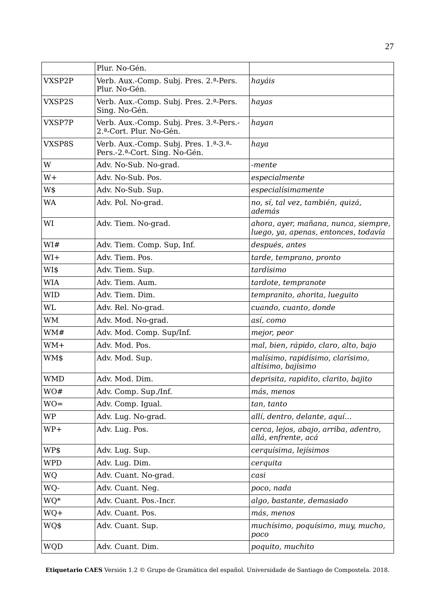|            | Plur. No-Gén.                                                                                    |                                                                              |
|------------|--------------------------------------------------------------------------------------------------|------------------------------------------------------------------------------|
| VXSP2P     | Verb. Aux.-Comp. Subj. Pres. 2.ª-Pers.<br>Plur. No-Gén.                                          | hayáis                                                                       |
| VXSP2S     | Verb. Aux.-Comp. Subj. Pres. 2.ª-Pers.<br>Sing. No-Gén.                                          | hayas                                                                        |
| VXSP7P     | Verb. Aux.-Comp. Subj. Pres. 3. <sup>a</sup> -Pers.-<br>2.ª-Cort. Plur. No-Gén.                  | hayan                                                                        |
| VXSP8S     | Verb. Aux.-Comp. Subj. Pres. 1. <sup>a</sup> -3. <sup>a</sup> -<br>Pers.-2.ª-Cort. Sing. No-Gén. | haya                                                                         |
| W          | Adv. No-Sub. No-grad.                                                                            | -mente                                                                       |
| $W+$       | Adv. No-Sub. Pos.                                                                                | especialmente                                                                |
| W\$        | Adv. No-Sub. Sup.                                                                                | especialísimamente                                                           |
| WA         | Adv. Pol. No-grad.                                                                               | no, sí, tal vez, también, quizá,<br>además                                   |
| WI         | Adv. Tiem. No-grad.                                                                              | ahora, ayer, mañana, nunca, siempre,<br>luego, ya, apenas, entonces, todavía |
| WI#        | Adv. Tiem. Comp. Sup, Inf.                                                                       | después, antes                                                               |
| $W1+$      | Adv. Tiem. Pos.                                                                                  | tarde, temprano, pronto                                                      |
| WI\$       | Adv. Tiem. Sup.                                                                                  | tardísimo                                                                    |
| <b>WIA</b> | Adv. Tiem. Aum.                                                                                  | tardote, tempranote                                                          |
| <b>WID</b> | Adv. Tiem. Dim.                                                                                  | tempranito, ahorita, lueguito                                                |
| WL         | Adv. Rel. No-grad.                                                                               | cuando, cuanto, donde                                                        |
| WM         | Adv. Mod. No-grad.                                                                               | así, como                                                                    |
| WM#        | Adv. Mod. Comp. Sup/Inf.                                                                         | mejor, peor                                                                  |
| $WM+$      | Adv. Mod. Pos.                                                                                   | mal, bien, rápido, claro, alto, bajo                                         |
| WM\$       | Adv. Mod. Sup.                                                                                   | malísimo, rapidísimo, clarísimo,<br>altísimo, bajísimo                       |
| <b>WMD</b> | Adv. Mod. Dim.                                                                                   | deprisita, rapidito, clarito, bajito                                         |
| WO#        | Adv. Comp. Sup./Inf.                                                                             | más, menos                                                                   |
| $WO =$     | Adv. Comp. Igual.                                                                                | tan, tanto                                                                   |
| <b>WP</b>  | Adv. Lug. No-grad.                                                                               | allí, dentro, delante, aquí                                                  |
| WP+        | Adv. Lug. Pos.                                                                                   | cerca, lejos, abajo, arriba, adentro,<br>allá, enfrente, acá                 |
| WP\$       | Adv. Lug. Sup.                                                                                   | cerquísima, lejísimos                                                        |
| <b>WPD</b> | Adv. Lug. Dim.                                                                                   | cerquita                                                                     |
| WQ         | Adv. Cuant. No-grad.                                                                             | casi                                                                         |
| WQ-        | Adv. Cuant. Neg.                                                                                 | poco, nada                                                                   |
| WQ*        | Adv. Cuant. Pos.-Incr.                                                                           | algo, bastante, demasiado                                                    |
| WQ+        | Adv. Cuant. Pos.                                                                                 | más, menos                                                                   |
| WQ\$       | Adv. Cuant. Sup.                                                                                 | muchísimo, poquísimo, muy, mucho,<br>poco                                    |
| <b>WQD</b> | Adv. Cuant. Dim.                                                                                 | poquito, muchito                                                             |